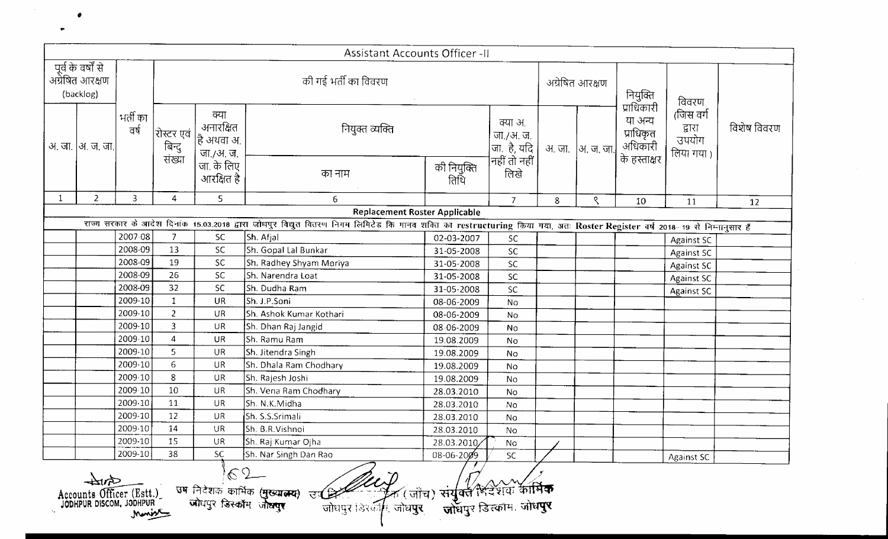|              |                                                    |                    |                                |                                              | Assistant Accounts Officer -II                                                                                                                                              |                          |                                        |        |                 |                                               |                                           |             |
|--------------|----------------------------------------------------|--------------------|--------------------------------|----------------------------------------------|-----------------------------------------------------------------------------------------------------------------------------------------------------------------------------|--------------------------|----------------------------------------|--------|-----------------|-----------------------------------------------|-------------------------------------------|-------------|
|              | पूर्व के वर्षों से<br>अग्रेषित आरक्षण<br>(backlog) |                    |                                |                                              | की गई भर्ती का विवरण                                                                                                                                                        |                          |                                        |        | अग्रेषित आरक्षण | नियुक्ति                                      | विवरण                                     |             |
|              | अ. जा.  अ. ज. जा.                                  | भर्ती का<br>वर्ष   | रोस्टर एवं<br>बिन्दु<br>संख्या | क्या<br>अनारक्षित<br>है अथवा अ.<br>जा./अ. ज. | नियुक्त व्यक्ति                                                                                                                                                             |                          | क्या अ.<br>  जा./अ. ज.<br> जा. है, यदि | अ. जा. | अ. ज. जा.       | प्राधिकारी<br>या अन्य<br>प्राधिकृत<br>अधिकारी | (जिस वर्ग<br>द्वारा<br>उपयोग<br>लिया गया। | विशेष विवरण |
|              |                                                    |                    |                                | जा. के लिए<br>आरक्षित है                     | का नाम                                                                                                                                                                      | की नियुक्ति<br>तिथि      | <br> नहीं तो नहीं<br>       लिखे       |        |                 | के हस्ताक्षर                                  |                                           |             |
| $\mathbf{1}$ | $\overline{2}$                                     | $\overline{3}$     | 4                              | 5                                            | 6 <sup>1</sup>                                                                                                                                                              |                          | $\overline{7}$                         | 8      | ९               | 10                                            | 11                                        | 12          |
|              |                                                    |                    |                                |                                              | <b>Replacement Roster Applicable</b>                                                                                                                                        |                          |                                        |        |                 |                                               |                                           |             |
|              |                                                    |                    |                                |                                              | राज्य सरकार के आदेश दिनांक 15.03.2018 द्वारा जोधपुर विद्युत वितरण निगम लिमिटेड कि गानव शक्ति का restructuring किया गया, अतः Roster Register वर्ष 2018-19 से निम्नानुसार हैं |                          |                                        |        |                 |                                               |                                           |             |
|              |                                                    | 2007-08            | $\overline{7}$                 | SC                                           | Sh. Afjal                                                                                                                                                                   | 02-03-2007               | <b>SC</b>                              |        |                 |                                               | Against SC                                |             |
|              |                                                    | 2008-09<br>2008-09 | 13                             | SC.                                          | Sh. Gopal Lal Bunkar                                                                                                                                                        | 31-05-2008               | SC                                     |        |                 |                                               | Against SC                                |             |
|              |                                                    | 2008-09            | 19<br>26                       | <b>SC</b><br><b>SC</b>                       | Sh. Radhey Shyam Moriya                                                                                                                                                     | 31-05-2008               | SC                                     |        |                 |                                               | <b>Against SC</b>                         |             |
|              |                                                    | 2008-09            | 32                             | <b>SC</b>                                    | Sh. Narendra Loat<br>Sh. Dudha Ram                                                                                                                                          | 31-05-2008               | SC                                     |        |                 |                                               | <b>Against SC</b>                         |             |
|              |                                                    | 2009-10            | $\mathbf{1}$                   | <b>UR</b>                                    | Sh. J.P.Soni                                                                                                                                                                | 31-05-2008<br>08-06-2009 | SC                                     |        |                 |                                               | <b>Against SC</b>                         |             |
|              |                                                    | 2009-10            | $\overline{2}$                 | UR                                           | Sh. Ashok Kumar Kothari                                                                                                                                                     | 08-06-2009               | No<br>No                               |        |                 |                                               |                                           |             |
|              |                                                    | 2009-10            | $\overline{3}$                 | <b>UR</b>                                    | Sh. Dhan Raj Jangid                                                                                                                                                         | 08-06-2009               | No                                     |        |                 |                                               |                                           |             |
|              |                                                    | 2009-10            | $\overline{4}$                 | <b>UR</b>                                    | Sh. Ramu Ram                                                                                                                                                                | 19.08.2009               | No                                     |        |                 |                                               |                                           |             |
|              |                                                    | 2009-10            | 5                              | <b>UR</b>                                    | Sh. Jitendra Singh                                                                                                                                                          | 19.08.2009               | <b>No</b>                              |        |                 |                                               |                                           |             |
|              |                                                    | 2009-10            | $\epsilon$                     | <b>UR</b>                                    | Sh. Dhala Ram Chodhary                                                                                                                                                      | 19.08.2009               | No                                     |        |                 |                                               |                                           |             |
|              |                                                    | 2009-10            | 8                              | <b>UR</b>                                    | Sh. Rajesh Joshi                                                                                                                                                            | 19.08.2009               | No                                     |        |                 |                                               |                                           |             |
|              |                                                    | 2009-10            | 10                             | <b>UR</b>                                    | Sh. Vena Ram Chodhary                                                                                                                                                       | 28.03.2010               | No                                     |        |                 |                                               |                                           |             |
|              |                                                    | 2009-10            | 11                             | UR                                           | Sh. N.K.Midha                                                                                                                                                               | 28.03.2010               | No                                     |        |                 |                                               |                                           |             |
|              |                                                    | 2009-10            | 12                             | <b>UR</b>                                    | Sh. S.S.Srimali                                                                                                                                                             | 28.03.2010               | No                                     |        |                 |                                               |                                           |             |
|              |                                                    | 2009-10            | 14                             | UR                                           | Sh. B.R.Vishnoi                                                                                                                                                             | 28.03.2010               | No                                     |        |                 |                                               |                                           |             |
|              |                                                    | 2009-10            | 15                             | <b>UR</b>                                    | Sh. Raj Kumar Ojha                                                                                                                                                          | 28.03.2010               | <b>No</b>                              |        |                 |                                               |                                           |             |
|              |                                                    | 2009-10            | 38                             | SC                                           | Sh. Nar Singh Dan Rao<br>دسير                                                                                                                                               | 08-06-2009               | SC.                                    |        |                 |                                               | <b>Against SC</b>                         |             |

 $\sim 10^7$ 

Accounts Officer (Est.)

2009-10 38 SC Sh. Nar Singh Dan Rao I 08-06-20%9 ~ SC *IL* Against SC

•

 $\bullet$ 

 $\sim$   $\sim$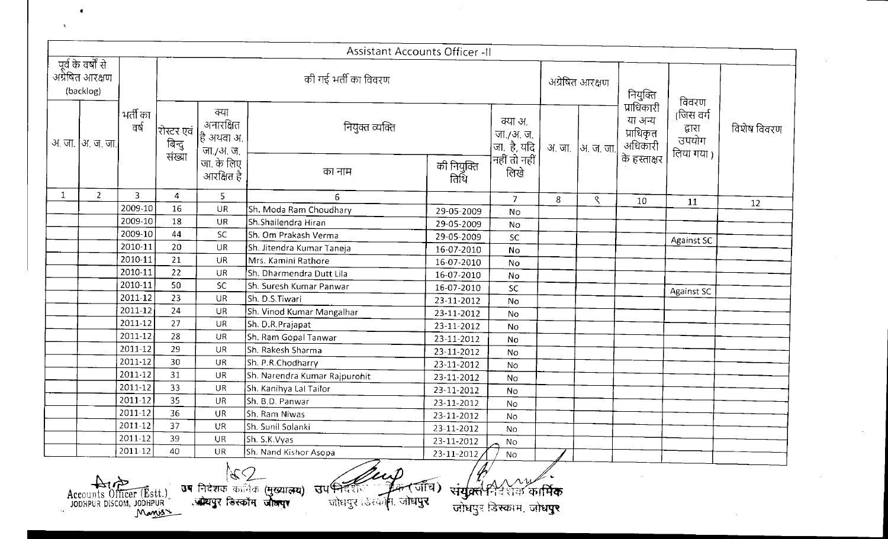|              |                                                    |                  |                                          |                                                            | Assistant Accounts Officer -II                                           |                     |                                                        |         |                             |                                                               |                                           |             |
|--------------|----------------------------------------------------|------------------|------------------------------------------|------------------------------------------------------------|--------------------------------------------------------------------------|---------------------|--------------------------------------------------------|---------|-----------------------------|---------------------------------------------------------------|-------------------------------------------|-------------|
|              | पूर्व के वर्षों से<br>अग्रेषित आरक्षण<br>(backlog) |                  |                                          |                                                            | की गई भर्ती का विवरण                                                     |                     |                                                        |         | अग्रेषित आरक्षण             | नियुक्ति                                                      | विवरण                                     |             |
|              | अ. जा. [अ. ज. जा.                                  | भर्ती का<br>वर्ष | रोस्टर एवं<br>     बिन्दु<br>     संख्या | क्या<br>अनारक्षित<br>हि अथवा अ.<br>जा./अ. ज.<br>जा. के लिए | नियुक्त व्यक्ति                                                          |                     | क्या अ.<br>  जा./अ. ज.<br> जा. है, यदि<br>नहीं तो नहीं |         | अ जा.  अ. ज. जा.            | प्राधिकारी<br>या अन्य<br>प्राधिकृत<br>अधिकारी<br>के हस्ताक्षर | (जिस वर्ग<br>द्वारा<br>उपयोग<br>लिया गया। | विशेष विवरण |
|              |                                                    |                  |                                          | आरक्षित है                                                 | का नाम                                                                   | को नियुक्ति<br>तिथि | लिखे                                                   |         |                             |                                                               |                                           |             |
| $\mathbf{1}$ | $\overline{2}$                                     | 3                | 4                                        | 5                                                          | 6.                                                                       |                     | $\overline{7}$                                         | 8       | $\mathcal{S}_{\mathcal{S}}$ | 10 <sup>°</sup>                                               | 11                                        | 12          |
|              |                                                    | 2009-10          | 16                                       | UR                                                         | Sh. Moda Ram Choudhary                                                   | 29-05-2009          | No                                                     |         |                             |                                                               |                                           |             |
|              |                                                    | 2009-10          | 18                                       | UR                                                         | Sh.Shailendra Hiran                                                      | 29-05-2009          | No                                                     |         |                             |                                                               |                                           |             |
|              |                                                    | 2009-10          | 44                                       | SC.                                                        | Sh. Om Prakash Verma                                                     | 29-05-2009          | <b>SC</b>                                              |         |                             |                                                               | <b>Against SC</b>                         |             |
|              |                                                    | 2010-11          | 20                                       | UR                                                         | Sh. Jitendra Kumar Taneja                                                | 16-07-2010          | No                                                     |         |                             |                                                               |                                           |             |
|              |                                                    | 2010-11          | 21                                       | <b>UR</b>                                                  | Mrs. Kamini Rathore                                                      | 16-07-2010          | No                                                     |         |                             |                                                               |                                           |             |
|              |                                                    | 2010-11          | 22                                       | <b>UR</b>                                                  | Sh. Dharmendra Dutt Lila                                                 | 16-07-2010          | No                                                     |         |                             |                                                               |                                           |             |
|              |                                                    | 2010-11          | 50                                       | SC.                                                        | Sh. Suresh Kumar Panwar                                                  | 16-07-2010          | <b>SC</b>                                              |         |                             |                                                               | Against SC                                |             |
|              |                                                    | 2011-12          | 23                                       | <b>UR</b>                                                  | Sh. D.S.Tiwari                                                           | 23-11-2012          | <b>No</b>                                              |         |                             |                                                               |                                           |             |
|              |                                                    | 2011-12          | 24                                       | UR                                                         | Sh. Vinod Kumar Mangalhar                                                | 23-11-2012          | No                                                     |         |                             |                                                               |                                           |             |
|              |                                                    | 2011-12          | 27                                       | UR                                                         | Sh. D.R.Prajapat                                                         | 23-11-2012          | <b>No</b>                                              |         |                             |                                                               |                                           |             |
|              |                                                    | $2011 - 12$      | 28                                       | UR                                                         | Sh. Ram Gopal Tanwar                                                     | 23-11-2012          | No                                                     |         |                             |                                                               |                                           |             |
|              |                                                    | 2011-12          | 29                                       | UR.                                                        | Sh. Rakesh Sharma                                                        | 23-11-2012          | No                                                     |         |                             |                                                               |                                           |             |
|              |                                                    | 2011-12          | 30                                       | <b>UR</b>                                                  | Sh. P.R.Chodharry                                                        | 23-11-2012          | <b>No</b>                                              |         |                             |                                                               |                                           |             |
|              |                                                    | 2011-12          | 31                                       | UR                                                         | Sh. Narendra Kumar Rajpurohit                                            | 23-11-2012          | No                                                     |         |                             |                                                               |                                           |             |
|              |                                                    | 2011-12          | 33                                       | UR                                                         | Sh. Kanihya Lal Tailor                                                   | 23-11-2012          | No                                                     |         |                             |                                                               |                                           |             |
|              |                                                    | 2011-12          | 35                                       | <b>UR</b>                                                  | Sh. B.D. Panwar                                                          | 23-11-2012          | No.                                                    |         |                             |                                                               |                                           |             |
|              |                                                    | 2011-12          | 36                                       | UR.                                                        | Sh. Ram Niwas                                                            | 23-11-2012          | <b>No</b>                                              |         |                             |                                                               |                                           |             |
|              |                                                    | 2011-12          | 37                                       | <b>UR</b>                                                  | Sh. Sunil Solanki                                                        | 23-11-2012          | No                                                     |         |                             |                                                               |                                           |             |
|              |                                                    | $2011-12$        | 39                                       | <b>UR</b>                                                  | Sh. S.K.Vyas                                                             | 23-11-2012          | <b>No</b>                                              |         |                             |                                                               |                                           |             |
|              |                                                    | 2011-12          | 40                                       | UR                                                         | Sh. Nand Kishor Asopa                                                    | 23-11-2012          | No.                                                    |         |                             |                                                               |                                           |             |
|              |                                                    |                  |                                          | <u>जोद्यपर डिस्कॉम जोल्लार</u>                             | उप निदेशक कार्मिक (मुख्यातय) उपभिदेशित<br>त्तोधवर डिस्कॉम, जी <b>धपर</b> | र्जीच) ।            |                                                        | কাৰ্মিক |                             |                                                               |                                           |             |

Accounts Officer (Estt.)<br>JODHPUR DISCOM, JODHPUR

 $\Lambda$  .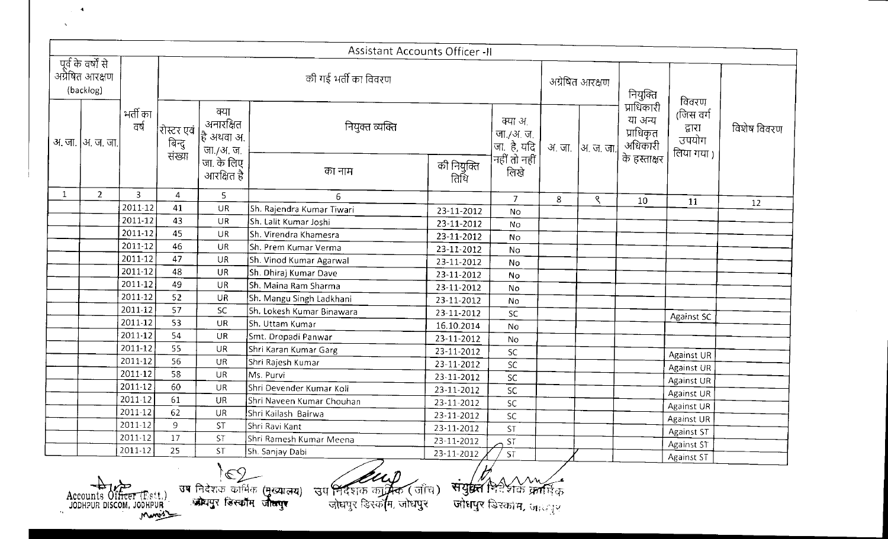|              |                                                    |                |                                      |                                              | Assistant Accounts Officer -II                                         |                     |                                                                       |   |                 |                                               |                                            |             |
|--------------|----------------------------------------------------|----------------|--------------------------------------|----------------------------------------------|------------------------------------------------------------------------|---------------------|-----------------------------------------------------------------------|---|-----------------|-----------------------------------------------|--------------------------------------------|-------------|
|              | पूर्व के वर्षों से<br>अग्रेषित आरक्षण<br>(backlog) |                |                                      |                                              | की गई भर्ती का विवरण                                                   |                     |                                                                       |   | अग्रेषित आरक्षण | नियुक्ति                                      | विवरण                                      |             |
|              | अ. जा.  अ. ज. जा.                                  | भर्ती का<br>ਰਾ | रोस्टर एवं<br> - बिन्दु<br> - संख्या | क्या<br>अनारक्षित<br>है अथवा अ.<br>जा./अ. ज. | नियुक्त व्यक्ति                                                        |                     | क्या अ.<br>  जा./अ. ज.<br> जा. है, यदि<br> नहीं तो नहीं<br> ---- लिखे |   | अजा  अज.जा.     | प्राधिकारी<br>या अन्य<br>प्राधिकृत<br>अधिकारी | (जिस वर्ग<br>द्वारा<br>उपयोग<br>लिया गया ) | विशेष विवरण |
|              |                                                    |                |                                      | जा. के लिए<br>आरक्षित है                     | का नाम                                                                 | की नियुक्ति<br>तिथि |                                                                       |   |                 | के हस्ताक्षर                                  |                                            |             |
| $\mathbf{1}$ | $2^{\circ}$                                        | $\overline{3}$ | 4                                    | $\overline{\mathsf{S}}$                      | 6                                                                      |                     | $\overline{J}$                                                        | 8 | ९               | 10                                            | 11                                         | 12          |
|              |                                                    | 2011-12        | 41                                   | UR                                           | Sh. Rajendra Kumar Tiwari                                              | 23-11-2012          | <b>No</b>                                                             |   |                 |                                               |                                            |             |
|              |                                                    | 2011-12        | 43                                   | UR                                           | Sh. Lalit Kumar Joshi                                                  | 23-11-2012          | No                                                                    |   |                 |                                               |                                            |             |
|              |                                                    | 2011-12        | 45                                   | <b>UR</b>                                    | Sh. Virendra Khamesra                                                  | 23-11-2012          | <b>No</b>                                                             |   |                 |                                               |                                            |             |
|              |                                                    | 2011-12        | 46                                   | <b>UR</b>                                    | Sh. Prem Kumar Verma                                                   | 23-11-2012          | No                                                                    |   |                 |                                               |                                            |             |
|              |                                                    | 2011-12        | 47                                   | <b>UR</b>                                    | Sh. Vinod Kumar Agarwal                                                | 23-11-2012          | No                                                                    |   |                 |                                               |                                            |             |
|              |                                                    | 2011-12        | 48                                   | <b>UR</b>                                    | Sh. Dhiraj Kumar Dave                                                  | 23-11-2012          | No                                                                    |   |                 |                                               |                                            |             |
|              |                                                    | 2011-12        | 49                                   | <b>UR</b>                                    | Sh. Maina Ram Sharma                                                   | 23-11-2012          | No                                                                    |   |                 |                                               |                                            |             |
|              |                                                    | 2011-12        | 52                                   | <b>UR</b>                                    | Sh. Mangu Singh Ladkhani                                               | 23-11-2012          | No                                                                    |   |                 |                                               |                                            |             |
|              |                                                    | 2011-12        | 57                                   | SC.                                          | Sh. Lokesh Kumar Binawara                                              | 23-11-2012          | SC                                                                    |   |                 |                                               | <b>Against SC</b>                          |             |
|              |                                                    | 2011-12        | 53                                   | <b>UR</b>                                    | Sh. Uttam Kumar                                                        | 16.10.2014          | No                                                                    |   |                 |                                               |                                            |             |
|              |                                                    | 2011-12        | 54                                   | UR                                           | Smt. Dropadi Panwar                                                    | 23-11-2012          | <b>No</b>                                                             |   |                 |                                               |                                            |             |
|              |                                                    | 2011-12        | 55                                   | <b>UR</b>                                    | Shri Karan Kumar Garg                                                  | 23-11-2012          | <b>SC</b>                                                             |   |                 |                                               | Against UR                                 |             |
|              |                                                    | 2011-12        | 56                                   | <b>UR</b>                                    | Shri Rajesh Kumar                                                      | 23-11-2012          | <b>SC</b>                                                             |   |                 |                                               | Against UR                                 |             |
|              |                                                    | 2011-12        | 58                                   | UR                                           | Ms. Purvi                                                              | 23-11-2012          | $\sf SC$                                                              |   |                 |                                               | Against UR                                 |             |
|              |                                                    | 2011-12        | 60                                   | UR                                           | Shri Devender Kumar Koli                                               | 23-11-2012          | SC.                                                                   |   |                 |                                               | Against UR                                 |             |
|              |                                                    | 2011-12        | 61                                   | UR                                           | Shri Naveen Kumar Chouhan                                              | 23-11-2012          | SC                                                                    |   |                 |                                               | <b>Against UR</b>                          |             |
|              |                                                    | 2011-12        | 62                                   | UR                                           | Shri Kailash Bairwa                                                    | 23-11-2012          | <b>SC</b>                                                             |   |                 |                                               | Against UR                                 |             |
|              |                                                    | 2011-12        | 9                                    | <b>ST</b>                                    | Shri Ravi Kant                                                         | 23-11-2012          | <b>ST</b>                                                             |   |                 |                                               | Against ST                                 |             |
|              |                                                    | 2011-12        | 17                                   | <b>ST</b>                                    | Shri Ramesh Kumar Meena                                                | 23-11-2012          | <b>ST</b>                                                             |   |                 |                                               | Against ST                                 |             |
|              |                                                    | 2011-12        | 25                                   | <b>ST</b>                                    | Sh. Sanjay Dabi                                                        | 23-11-2012          | <b>ST</b>                                                             |   |                 |                                               | <b>Against ST</b>                          |             |
|              |                                                    |                |                                      |                                              | and the Hand Am<br>$\overline{\mathbf{u}}$ ष निरोधक कार्यिक (प्रकाणम्) |                     |                                                                       |   |                 |                                               |                                            |             |

Accounts Officer (Est.)<br>JODHPUR DISCOM, JODHPUR

 $\Delta$ 

.<br>.<br>. *1i* 

**जोधपुर** डिस्काम, जानपुर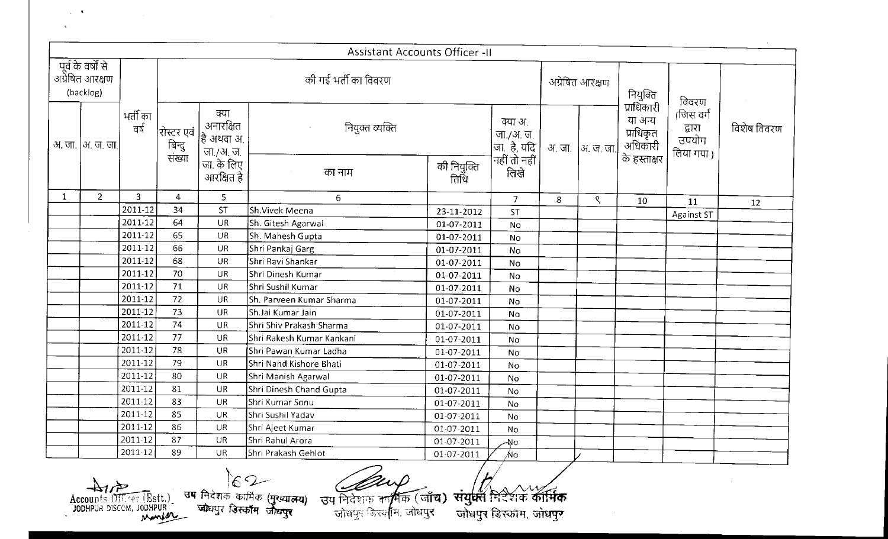|              |                                                               |                    |                                |                                              | <b>Assistant Accounts Officer -II</b>                                                                                                                              |                          |                                                           |   |                   |                                                 |                                            |             |
|--------------|---------------------------------------------------------------|--------------------|--------------------------------|----------------------------------------------|--------------------------------------------------------------------------------------------------------------------------------------------------------------------|--------------------------|-----------------------------------------------------------|---|-------------------|-------------------------------------------------|--------------------------------------------|-------------|
|              | ्पूर्व के वर्षों से<br>अग्रेषित आरक्षण<br>(backlog)           |                    |                                |                                              | की गई भर्ती का विवरण                                                                                                                                               |                          |                                                           |   | अग्रेषित आरक्षण   | नियुक्ति<br>प्राधिकारी                          | विवरण                                      |             |
|              | अ. जा.  अ. ज. जा.                                             | भर्ती का<br>वर्ष   | रोस्टर एवं<br>बिन्दु<br>संख्या | क्या<br>अनारक्षित<br>है अथवा अ.<br>जा /अ. ज. | नियुक्त व्यक्ति                                                                                                                                                    |                          | क्या अ.<br>  जा./अ. ज.  <br> जा. है, यदि<br> नहीं तो नहीं |   | अ. जा.  अ. ज. जा. | या अन्य<br>प्राधिकृत<br>अधिकारी<br>के हस्ताक्षर | (जिस वर्ग<br>द्वारा<br>उपयोग<br>लिया गया ) | विशेष विवरण |
|              |                                                               |                    |                                | जा के लिए<br>आरक्षित है                      | का नाम                                                                                                                                                             | की नियुक्ति<br>तिथि      | लिखे                                                      |   |                   |                                                 |                                            |             |
| $\mathbf{1}$ | $\overline{2}$                                                | 3                  | $\overline{4}$                 | 5                                            | $6\overline{6}$                                                                                                                                                    |                          | $\overline{7}$                                            | 8 | ९                 | 10                                              | 11                                         | 12          |
|              |                                                               | 2011-12            | 34                             | <b>ST</b>                                    | Sh.Vivek Meena                                                                                                                                                     | 23-11-2012               | <b>ST</b>                                                 |   |                   |                                                 | <b>Against ST</b>                          |             |
|              |                                                               | 2011-12            | 64                             | <b>UR</b>                                    | Sh. Gitesh Agarwal                                                                                                                                                 | 01-07-2011               | No                                                        |   |                   |                                                 |                                            |             |
|              |                                                               | 2011-12            | 65                             | UR                                           | Sh. Mahesh Gupta                                                                                                                                                   | 01-07-2011               | No                                                        |   |                   |                                                 |                                            |             |
|              |                                                               | 2011-12            | 66                             | <b>UR</b>                                    | Shri Pankaj Garg                                                                                                                                                   | 01-07-2011               | No                                                        |   |                   |                                                 |                                            |             |
|              |                                                               | 2011-12            | 68                             | UR                                           | Shri Ravi Shankar                                                                                                                                                  | 01-07-2011               | No                                                        |   |                   |                                                 |                                            |             |
|              |                                                               | 2011-12<br>2011-12 | 70<br>71                       | UR                                           | Shri Dinesh Kumar                                                                                                                                                  | 01-07-2011               | No                                                        |   |                   |                                                 |                                            |             |
|              |                                                               | 2011-12            | 72                             | UR<br>UR                                     | Shri Sushil Kumar<br>Sh. Parveen Kumar Sharma                                                                                                                      | 01-07-2011               | No                                                        |   |                   |                                                 |                                            |             |
|              |                                                               | 2011-12            | 73                             | <b>UR</b>                                    | Sh.Jai Kumar Jain                                                                                                                                                  | 01-07-2011<br>01-07-2011 | No                                                        |   |                   |                                                 |                                            |             |
|              |                                                               | 2011-12            | 74                             | UR                                           | Shri Shiv Prakash Sharma                                                                                                                                           | 01-07-2011               | No<br>No                                                  |   |                   |                                                 |                                            |             |
|              |                                                               | 2011-12            | 77                             | UR                                           | Shri Rakesh Kumar Kankani                                                                                                                                          | 01-07-2011               | No                                                        |   |                   |                                                 |                                            |             |
|              |                                                               | 2011-12            | 78                             | UR                                           | Shri Pawan Kumar Ladha                                                                                                                                             | 01-07-2011               | No                                                        |   |                   |                                                 |                                            |             |
|              |                                                               | 2011-12            | 79                             | UR                                           | Shri Nand Kishore Bhati                                                                                                                                            | 01-07-2011               | No                                                        |   |                   |                                                 |                                            |             |
|              |                                                               | 2011-12            | 80                             | UR                                           | Shri Manish Agarwal                                                                                                                                                | 01-07-2011               | No                                                        |   |                   |                                                 |                                            |             |
|              |                                                               | 2011-12            | 81                             | <b>UR</b>                                    | Shri Dinesh Chand Gupta                                                                                                                                            | 01-07-2011               | No                                                        |   |                   |                                                 |                                            |             |
|              |                                                               | 2011-12            | 83                             | <b>UR</b>                                    | Shri Kumar Sonu                                                                                                                                                    | 01-07-2011               | <b>No</b>                                                 |   |                   |                                                 |                                            |             |
|              |                                                               | 2011-12            | 85                             | <b>UR</b>                                    | Shri Sushil Yadav                                                                                                                                                  | 01-07-2011               | <b>No</b>                                                 |   |                   |                                                 |                                            |             |
|              |                                                               | 2011-12            | 86                             | UR                                           | Shri Ajeet Kumar                                                                                                                                                   | 01-07-2011               | No                                                        |   |                   |                                                 |                                            |             |
|              |                                                               | 2011.12            | 87                             | UR                                           | Shri Rahul Arora                                                                                                                                                   | 01-07-2011               | -No                                                       |   |                   |                                                 |                                            |             |
|              |                                                               | $2011-12$          | 89                             | <b>UR</b>                                    | Shri Prakash Gehlot                                                                                                                                                | 01-07-2011               | ⁄No.                                                      |   |                   |                                                 |                                            |             |
|              | $4\pi$<br>Accounts Officer (Estt.)<br>JODHPUR DISCOM, JODHPUR |                    |                                |                                              | $62-$<br>उष निदेशकं कार्मिक (मुख्यात्मय)<br>- जोघपुर डिस्कॉम जोधपुर<br>उप निदेशक कार्मिक (जाँच) <b>सयुक्तें नि</b> देशक <b>कार्मिक</b><br>जोधपुर डिस्क्षीम, जोधपुर |                          | जोधपुर डिस्कॉम, जोधपुर                                    |   |                   |                                                 |                                            |             |

 $\mathcal{L}_{\rm{max}}$ 

 $\mathcal{N}$ 

 $\mathcal{L}^{\text{max}}_{\text{max}}$  and  $\mathcal{L}^{\text{max}}_{\text{max}}$ 

 $\sim 10^{-1}$ 

ब्य निदेशक तामिक (जाँच):<br>जोघपुर डिस्थाम, जोघपुर

.  $1/\sqrt{2}$ Ley (जाँच) संयुक्त निर्देशक कार्मिक<br>डिल्लीम, जोधपुर जोधपुर डिस्कोम, जोधपुर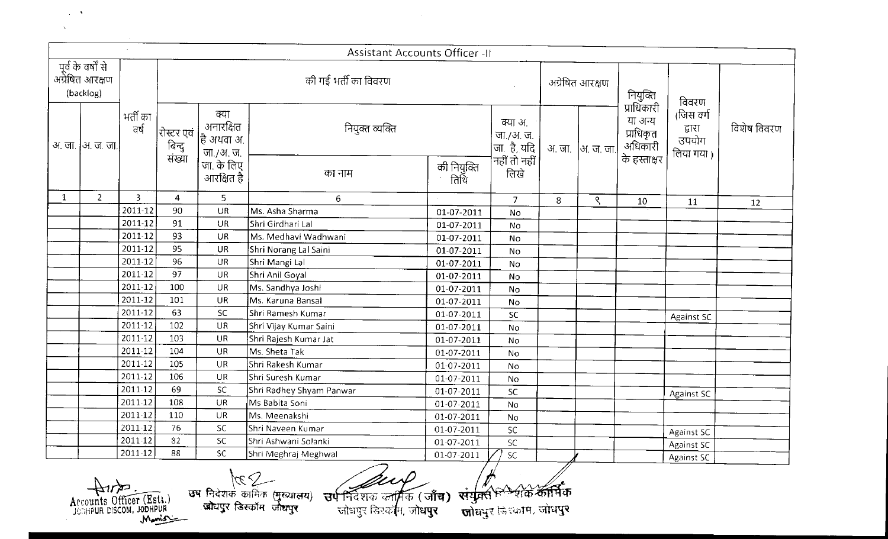|              |                                                    |                |                                |                                                  | <b>Assistant Accounts Officer -II</b>                                                                                       |                       |                                                         |   |                   |                                                 |                                           |             |
|--------------|----------------------------------------------------|----------------|--------------------------------|--------------------------------------------------|-----------------------------------------------------------------------------------------------------------------------------|-----------------------|---------------------------------------------------------|---|-------------------|-------------------------------------------------|-------------------------------------------|-------------|
|              | पूर्व के वर्षों से<br>अग्रेषित आरक्षण<br>(backlog) |                |                                |                                                  | की गई भर्ती का विवरण                                                                                                        |                       |                                                         |   | अग्रेषित आरक्षण   | नियुक्ति<br>प्राधिकारी                          | विवरण                                     |             |
|              | <u>अ. जा.  अ. ज. जा.</u>                           | भर्ती का<br>ਕਰ | रोस्टर एवं<br>बिन्दु<br>संख्या | क्या<br>अनारक्षित<br>$ $ है अथवा अ.<br>जा /अ. ज. | नियुक्त व्यक्ति                                                                                                             |                       | क्या अ.<br>  जा./अ. ज.<br> जा. है, यदि<br> नहीं तो नहीं |   | अ. जा.  अ. ज. जा. | या अन्य<br>प्राधिकृत<br>अधिकारी<br>के हस्ताक्षर | (जिस वर्ग<br>द्वारा<br>उपयोग<br>लिया गया) | विशेष विवरण |
|              |                                                    |                |                                | जा. के लिए<br>आरक्षित है                         | का नाम                                                                                                                      | की नियुक्ति<br>संतिथि | लिखे                                                    |   |                   |                                                 |                                           |             |
| $\mathbf{1}$ | $\overline{2}$                                     | 3              | $\overline{4}$                 | 5                                                | 6                                                                                                                           |                       | $\overline{7}$                                          | 8 | ९                 | 10                                              | 11                                        | 12          |
|              |                                                    | 2011-12        | 90                             | UR                                               | Ms. Asha Sharma                                                                                                             | 01-07-2011            | No                                                      |   |                   |                                                 |                                           |             |
|              |                                                    | 2011-12        | 91                             | UR                                               | Shri Girdhari Lal                                                                                                           | 01-07-2011            | No                                                      |   |                   |                                                 |                                           |             |
|              |                                                    | 2011-12        | 93                             | UR                                               | Ms. Medhavi Wadhwani                                                                                                        | 01-07-2011            | No                                                      |   |                   |                                                 |                                           |             |
|              |                                                    | 2011-12        | 95                             | <b>UR</b>                                        | Shri Norang Lal Saini                                                                                                       | 01-07-2011            | No                                                      |   |                   |                                                 |                                           |             |
|              |                                                    | 2011-12        | 96                             | <b>UR</b>                                        | Shri Mangi Lal                                                                                                              | 01-07-2011            | No                                                      |   |                   |                                                 |                                           |             |
|              |                                                    | 2011-12        | 97                             | <b>UR</b>                                        | Shri Anil Goyal                                                                                                             | 01-07-2011            | No                                                      |   |                   |                                                 |                                           |             |
|              |                                                    | 2011-12        | 100                            | UR                                               | Ms. Sandhya Joshi                                                                                                           | 01-07-2011            | No                                                      |   |                   |                                                 |                                           |             |
|              |                                                    | 2011-12        | 101                            | <b>UR</b>                                        | Ms. Karuna Bansal                                                                                                           | 01-07-2011            | <b>No</b>                                               |   |                   |                                                 |                                           |             |
|              |                                                    | 2011-12        | 63                             | SC.                                              | Shri Ramesh Kumar                                                                                                           | 01-07-2011            | SC                                                      |   |                   |                                                 | Against SC                                |             |
|              |                                                    | 2011-12        | 102                            | UR                                               | Shri Vijay Kumar Saini                                                                                                      | 01-07-2011            | No                                                      |   |                   |                                                 |                                           |             |
|              |                                                    | 2011-12        | 103                            | <b>UR</b>                                        | Shri Rajesh Kumar Jat                                                                                                       | 01-07-2011            | No                                                      |   |                   |                                                 |                                           |             |
|              |                                                    | 2011-12        | 104                            | <b>UR</b>                                        | Ms. Sheta Tak                                                                                                               | 01-07-2011            | No                                                      |   |                   |                                                 |                                           |             |
|              |                                                    | 2011-12        | 105                            | UR                                               | Shri Rakesh Kumar                                                                                                           | 01-07-2011            | No                                                      |   |                   |                                                 |                                           |             |
|              |                                                    | 2011-12        | 106                            | UR                                               | Shri Suresh Kumar                                                                                                           | 01-07-2011            | No                                                      |   |                   |                                                 |                                           |             |
|              |                                                    | 2011-12        | 69                             | SC                                               | Shri Radhey Shyam Panwar                                                                                                    | 01-07-2011            | <b>SC</b>                                               |   |                   |                                                 | Against SC                                |             |
|              |                                                    | 2011-12        | 108                            | <b>UR</b>                                        | Ms Babita Soni                                                                                                              | 01-07-2011            | No                                                      |   |                   |                                                 |                                           |             |
|              |                                                    | 2011-12        | 110                            | <b>UR</b>                                        | Ms. Meenakshi                                                                                                               | 01-07-2011            | <b>No</b>                                               |   |                   |                                                 |                                           |             |
|              |                                                    | 2011-12        | 76                             | SC.                                              | Shri Naveen Kumar                                                                                                           | 01-07-2011            | SC                                                      |   |                   |                                                 | Against SC                                |             |
|              |                                                    | 2011-12        | 82                             | SC.                                              | Shri Ashwani Solanki                                                                                                        | 01-07-2011            | SC                                                      |   |                   |                                                 | Against SC                                |             |
|              |                                                    | 2011-12        | 88                             | <b>SC</b>                                        | Shri Meghraj Meghwal                                                                                                        | 01-07-2011            | $\overline{SC}$                                         |   |                   |                                                 | Against SC                                |             |
|              | Accounts Officer (Esti.)                           |                |                                |                                                  | $\overbrace{V}$ and $\overbrace{V}$ and $\overbrace{V}$ and $\overbrace{V}$<br><b>उप</b> निदेशक कार्मिक (मुख्या <b>लय</b> ) |                       | অথুন্নৰ <sup>ভিত্ৰ</sup> ত কৰি কৰি                      |   |                   |                                                 |                                           |             |

Accounts Officer (Est.)

 $\sim 10$  $\infty$ 

ानदशक का)<br>जोधपुर डिस्कॉ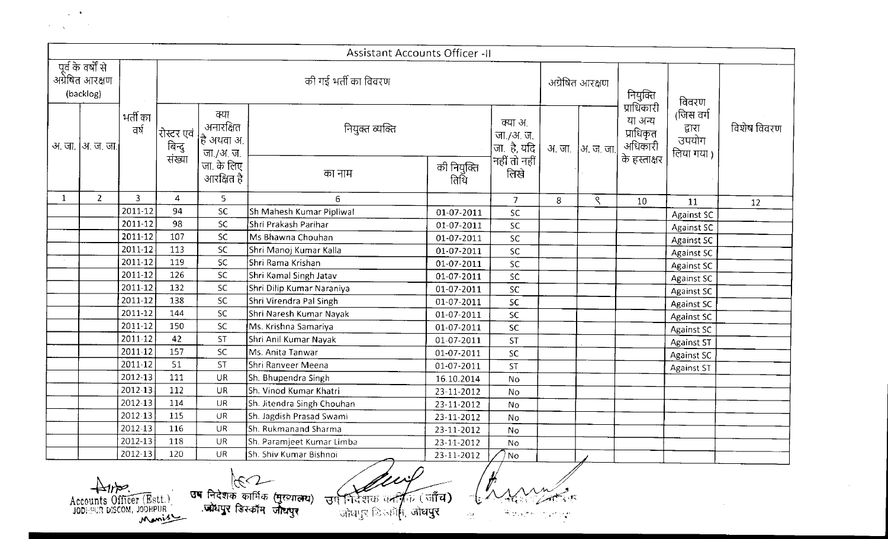$\mathcal{L}^{\mathcal{L}}(\mathcal{A})$  ,  $\mathcal{L}^{\mathcal{L}}(\mathcal{A})$  $\mathcal{A}=\sqrt{2\pi\sqrt{2}}$  , where  $\mathcal{A}$ 

|              |                                                    |                |                                |                                              | Assistant Accounts Officer -II |                     |                                                           |   |                   |                                                               |                                            |             |
|--------------|----------------------------------------------------|----------------|--------------------------------|----------------------------------------------|--------------------------------|---------------------|-----------------------------------------------------------|---|-------------------|---------------------------------------------------------------|--------------------------------------------|-------------|
|              | पूर्व के वर्षों से<br>अग्रेषित आरक्षण<br>(backlog) |                |                                |                                              | की गई भर्ती का विवरण           |                     |                                                           |   | अग्रेषित आरक्षण   | नियुक्ति                                                      | विवरण                                      |             |
|              | अ. जा.  अ. ज. जा.                                  | भर्ती का<br>ਰਾ | रोस्टर एवं<br>बिन्दु<br>संख्या | क्या<br>अनारक्षित<br>हि अथवा अ.<br>जा./अ. ज. | नियुक्त व्यक्ति                |                     | क्या अ.<br>  जा./अ. ज.<br> जा., है, यदि  <br>नहीं तो नहीं |   | अ. जा.  अ. ज. जा. | प्राधिकारी<br>या अन्य<br>प्राधिकृत<br>अधिकारी<br>के हस्ताक्षर | (जिस वर्ग<br>द्वारा<br>उपयोग<br>लिया गया ) | विशेष विवरण |
|              |                                                    |                |                                | जा. के लिए<br>आरक्षित है                     | का नाम                         | की नियुक्ति<br>तिथि | लिखे                                                      |   |                   |                                                               |                                            |             |
| $\mathbf{1}$ | $\overline{2}$                                     | $\mathbf{3}$   | $\overline{4}$                 | $\overline{5}$                               | 6                              |                     | $\overline{7}$                                            | 8 | ९                 | 10                                                            | 11                                         | 12          |
|              |                                                    | 2011-12        | 94                             | ${\sf SC}$                                   | Sh Mahesh Kumar Pipliwal       | 01-07-2011          | SC.                                                       |   |                   |                                                               | Against SC                                 |             |
|              |                                                    | 2011-12        | 98                             | <b>SC</b>                                    | Shri Prakash Parihar           | 01-07-2011          | ${\sf SC}$                                                |   |                   |                                                               | Against SC                                 |             |
|              |                                                    | 2011-12        | 107                            | <b>SC</b>                                    | Ms Bhawna Chouhan              | 01-07-2011          | SC                                                        |   |                   |                                                               | <b>Against SC</b>                          |             |
|              |                                                    | 2011-12        | 113                            | <b>SC</b>                                    | Shri Manoj Kumar Kalla         | 01-07-2011          | SC                                                        |   |                   |                                                               | <b>Against SC</b>                          |             |
|              |                                                    | 2011-12        | 119                            | <b>SC</b>                                    | Shri Rama Krishan              | 01-07-2011          | <b>SC</b>                                                 |   |                   |                                                               | <b>Against SC</b>                          |             |
|              |                                                    | 2011-12        | 126                            | SC                                           | Shri Kamal Singh Jatav         | 01-07-2011          | SC                                                        |   |                   |                                                               | Against SC                                 |             |
|              |                                                    | 2011-12        | 132                            | SC.                                          | Shri Dilip Kumar Naraniya      | 01-07-2011          | SC                                                        |   |                   |                                                               | <b>Against SC</b>                          |             |
|              |                                                    | 2011-12        | 138                            | SC                                           | Shri Virendra Pal Singh        | 01-07-2011          | SC                                                        |   |                   |                                                               | <b>Against SC</b>                          |             |
|              |                                                    | 2011-12        | 144                            | SC                                           | Shri Naresh Kumar Nayak        | 01-07-2011          | <b>SC</b>                                                 |   |                   |                                                               | <b>Against SC</b>                          |             |
|              |                                                    | 2011-12        | 150                            | SC                                           | Ms. Krishna Samariya           | 01-07-2011          | SC                                                        |   |                   |                                                               | Against SC                                 |             |
|              |                                                    | 2011-12        | 42                             | ST                                           | Shri Anil Kumar Nayak          | 01-07-2011          | <b>ST</b>                                                 |   |                   |                                                               | Against ST                                 |             |
|              |                                                    | 2011-12        | 157                            | <b>SC</b>                                    | Ms. Anita Tanwar               | 01-07-2011          | SC                                                        |   |                   |                                                               | Against SC                                 |             |
|              |                                                    | 2011-12        | 51                             | <b>ST</b>                                    | Shri Ranveer Meena             | 01-07-2011          | <b>ST</b>                                                 |   |                   |                                                               | <b>Against ST</b>                          |             |
|              |                                                    | 2012-13        | 111                            | UR                                           | Sh. Bhupendra Singh            | 16.10.2014          | <b>No</b>                                                 |   |                   |                                                               |                                            |             |
|              |                                                    | 2012-13        | 112                            | UR                                           | Sh. Vinod Kumar Khatri         | 23-11-2012          | No                                                        |   |                   |                                                               |                                            |             |
|              |                                                    | 2012-13        | 114                            | <b>UR</b>                                    | Sh. Jitendra Singh Chouhan     | 23-11-2012          | No                                                        |   |                   |                                                               |                                            |             |
|              |                                                    | 2012-13        | 115                            | UR                                           | Sh. Jagdish Prasad Swami       | 23-11-2012          | No                                                        |   |                   |                                                               |                                            |             |
|              |                                                    | 2012-13        | 116                            | <b>UR</b>                                    | Sh. Rukmanand Sharma           | 23-11-2012          | No                                                        |   |                   |                                                               |                                            |             |
|              |                                                    | 2012-13        | 118                            | <b>UR</b>                                    | Sh. Paramjeet Kumar Limba      | 23-11-2012          | <b>No</b>                                                 |   |                   |                                                               |                                            |             |
|              |                                                    | 2012-13        | 120                            | UR                                           | Sh. Shiv Kumar Bishnoi         | 23-11-2012          | <sup>1</sup> No                                           |   |                   |                                                               |                                            |             |
|              |                                                    |                |                                | तब जिलेक                                     |                                | د کے لیے            | $\mathcal{L}_{\Lambda\Lambda\Lambda\Lambda\Lambda}$       |   |                   |                                                               |                                            |             |

Accounts Officer (Est.)

 $\sim 10^{11}$ 

*~ f* 

 $\frac{1}{2} \frac{d\mu}{d\mu}$  .

 $\sim 10^7$ 

 $\sim 10^7$ 

 $\left\langle \frac{\partial \phi}{\partial t} \frac{\partial \phi}{\partial \phi} \right\rangle = \frac{1}{2} \sum_{i=1}^n \frac{\partial \phi}{\partial t} \frac{\partial \phi}{\partial \phi} \frac{\partial \phi}{\partial \phi}$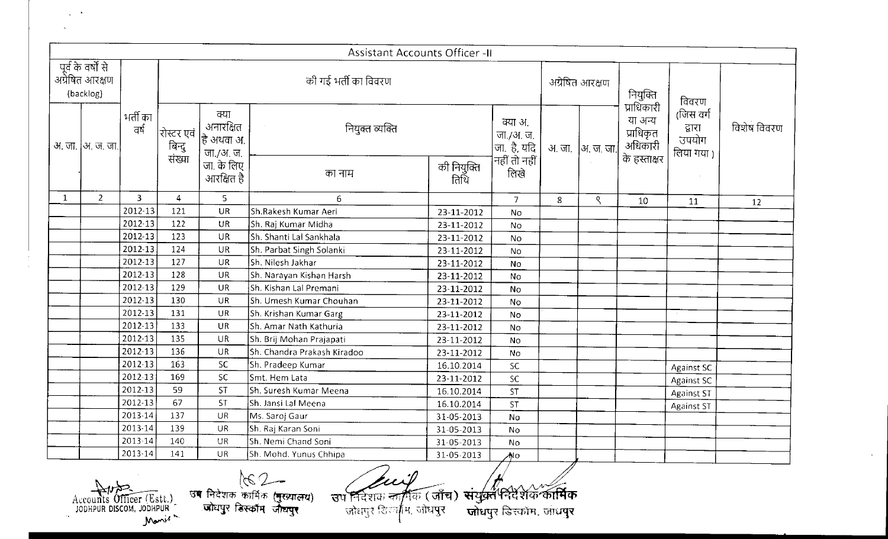|              |                                                                       |                |                                      |                                              | <b>Assistant Accounts Officer -II</b>                                                                                            |                     |                                                                       |        |                 |                                 |                                           |             |
|--------------|-----------------------------------------------------------------------|----------------|--------------------------------------|----------------------------------------------|----------------------------------------------------------------------------------------------------------------------------------|---------------------|-----------------------------------------------------------------------|--------|-----------------|---------------------------------|-------------------------------------------|-------------|
|              | पूर्व के वर्षों से<br>अग्रेषित आरक्षण<br>(backlog)                    |                |                                      |                                              | की गई भर्ती का विवरण                                                                                                             |                     |                                                                       |        | अग्रेषित आरक्षण | नियुक्ति<br>प्राधिकारी          | विवरण                                     |             |
|              | अ. जा.  अ. ज. जा.                                                     | भर्ती का<br>ਰਾ | रोस्टर एवं<br> - बिन्दु<br> - संख्या | क्या<br>अनारक्षित<br>हि अथवा अ.<br>जा./अ. ज. | नियुक्त व्यक्ति                                                                                                                  |                     | क्या अ.<br>  जा./अ. ज.<br>  जा. है, यदि<br>  नहीं तो नहीं  <br>  लिखे | अ. जा. | ∣अ. ज. जा.∣     | या अन्य<br>प्राधिकृत<br>अधिकारी | (जिस वर्ग<br>द्वारा<br>उपयोग<br>लिया गया) | विशेष विवरण |
|              |                                                                       |                |                                      | जा. के लिए<br>आरक्षित है                     | का नाम                                                                                                                           | की नियुक्ति<br>तिथि |                                                                       |        |                 | के हस्ताक्षर                    |                                           |             |
| $\mathbf{1}$ | $\overline{2}$                                                        | 3              | 4                                    | 5                                            | 6                                                                                                                                |                     | $\overline{7}$                                                        | 8      | ९               | 10                              | 11                                        | 12          |
|              |                                                                       | 2012-13        | 121                                  | UR                                           | Sh.Rakesh Kumar Aeri                                                                                                             | 23-11-2012          | No                                                                    |        |                 |                                 |                                           |             |
|              |                                                                       | 2012-13        | 122                                  | <b>UR</b>                                    | Sh. Raj Kumar Midha                                                                                                              | 23-11-2012          | No                                                                    |        |                 |                                 |                                           |             |
|              |                                                                       | 2012-13        | 123                                  | <b>UR</b>                                    | Sh. Shanti Lal Sankhala                                                                                                          | 23-11-2012          | No.                                                                   |        |                 |                                 |                                           |             |
|              |                                                                       | 2012-13        | 124                                  | <b>UR</b>                                    | Sh. Parbat Singh Solanki                                                                                                         | 23-11-2012          | No                                                                    |        |                 |                                 |                                           |             |
|              |                                                                       | 2012-13        | 127                                  | UR                                           | Sh. Nilesh Jakhar                                                                                                                | 23-11-2012          | No                                                                    |        |                 |                                 |                                           |             |
|              |                                                                       | 2012-13        | 128                                  | <b>UR</b>                                    | Sh. Narayan Kishan Harsh                                                                                                         | 23-11-2012          | No                                                                    |        |                 |                                 |                                           |             |
|              |                                                                       | 2012-13        | 129                                  | <b>UR</b>                                    | Sh. Kishan Lal Premani                                                                                                           | 23-11-2012          | No                                                                    |        |                 |                                 |                                           |             |
|              |                                                                       | 2012 13        | 130                                  | <b>UR</b>                                    | Sh. Umesh Kumar Chouhan                                                                                                          | 23-11-2012          | No                                                                    |        |                 |                                 |                                           |             |
|              |                                                                       | 2012-13        | 131                                  | UR                                           | Sh. Krishan Kumar Garg                                                                                                           | 23-11-2012          | No                                                                    |        |                 |                                 |                                           |             |
|              |                                                                       | 2012-13        | 133                                  | <b>UR</b>                                    | Sh. Amar Nath Kathuria                                                                                                           | 23-11-2012          | No                                                                    |        |                 |                                 |                                           |             |
|              |                                                                       | 2012-13        | 135                                  | <b>UR</b>                                    | Sh. Brij Mohan Prajapati                                                                                                         | 23-11-2012          | No                                                                    |        |                 |                                 |                                           |             |
|              |                                                                       | 2012-13        | 136                                  | UR                                           | Sh. Chandra Prakash Kiradoo                                                                                                      | 23-11-2012          | No                                                                    |        |                 |                                 |                                           |             |
|              |                                                                       | 2012 13        | 163                                  | SC                                           | Sh. Pradeep Kumar                                                                                                                | 16.10.2014          | SC.                                                                   |        |                 |                                 | Against SC                                |             |
|              |                                                                       | 2012-13        | 169                                  | SC                                           | Smt. Hem Lata                                                                                                                    | 23-11-2012          | SC                                                                    |        |                 |                                 | Against SC                                |             |
|              |                                                                       | 2012-13        | 59                                   | ST                                           | Sh. Suresh Kumar Meena                                                                                                           | 16.10.2014          | <b>ST</b>                                                             |        |                 |                                 | Against ST                                |             |
|              |                                                                       | 2012-13        | 67                                   | ST                                           | Sh. Jansi Lal Meena                                                                                                              | 16.10.2014          | ST.                                                                   |        |                 |                                 | Against ST                                |             |
|              |                                                                       | 2013-14        | 137                                  | <b>UR</b>                                    | Ms. Saroj Gaur                                                                                                                   | 31-05-2013          | Nο                                                                    |        |                 |                                 |                                           |             |
|              |                                                                       | 2013-14        | 139                                  | <b>UR</b>                                    | Sh. Raj Karan Soni                                                                                                               | 31-05-2013          | <b>No</b>                                                             |        |                 |                                 |                                           |             |
|              |                                                                       | 2013-14        | 140                                  | UR                                           | Sh. Nemi Chand Soni                                                                                                              | 31-05-2013          | No                                                                    |        |                 |                                 |                                           |             |
|              |                                                                       | 2013-14        | 141                                  | <b>UR</b>                                    | Sh. Mohd. Yunus Chhipa                                                                                                           | 31-05-2013          | ∧No                                                                   |        |                 |                                 |                                           |             |
|              | $\sum_{i=1}^n$<br>Accounts Officer (Estt.)<br>JODHPUR DISCOM, JODHPUR |                |                                      |                                              | AS 2-<br>उब निदेशक कार्मिक (मुख्यालय)<br>उप निर्देशक कार्गिक (जाँच)<br>जोयपुर डिस्कॉम जोयपुर<br>जोधपुर डिल्म् <b>मीम, जोधपुर</b> |                     | संयुक्तभारी के कार्मिक<br>जोधपुर डिस्कॉम, जाधपुर                      |        |                 |                                 |                                           |             |

Accounts Officer (Estt.) Manis - $\alpha_{\bullet}$  .

 $\Delta \sim 20$ 

 $162 -$ उष निदेशक कार्मिक (<del>मुख्यालय)</del><br>- जोयपुर डिस्कॉम जोयपुर

 $\sim$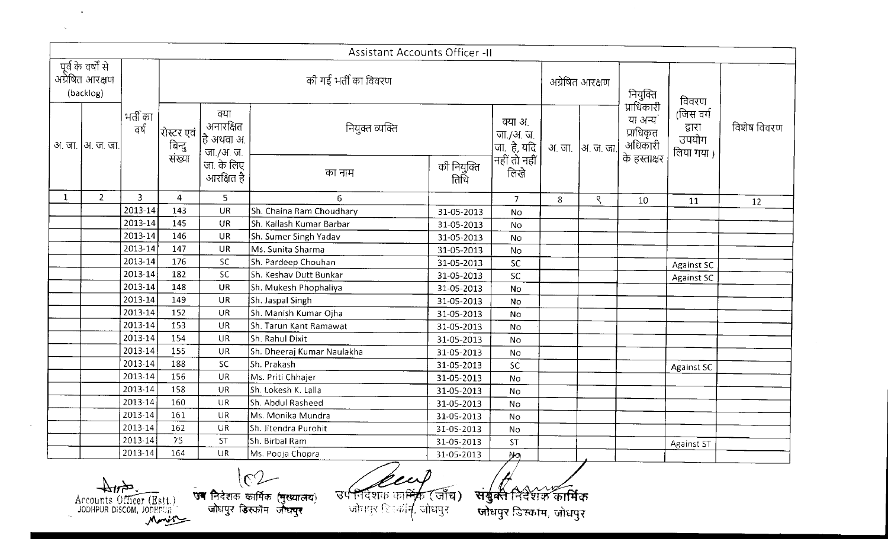|              |                                                            |                  |                                |                                             | <b>Assistant Accounts Officer -II</b>                                                                                                                  |                     |                                                          |   |                 |                                                 |                                           |             |
|--------------|------------------------------------------------------------|------------------|--------------------------------|---------------------------------------------|--------------------------------------------------------------------------------------------------------------------------------------------------------|---------------------|----------------------------------------------------------|---|-----------------|-------------------------------------------------|-------------------------------------------|-------------|
|              | पूर्व के वर्षों से<br>अप्रैषित आरक्षण<br>(backlog)         |                  |                                |                                             | की गई भर्ती का विवरण                                                                                                                                   |                     |                                                          |   | अग्रेषित आरक्षण | नियुक्ति<br>प्राधिकारी                          | विवरण                                     |             |
|              | अ. जा.  अ. ज. जा.                                          | भर्ती का<br>वर्ष | शिस्टर एवं<br>बिन्दु<br>संख्या | क्या<br>अनारक्षित<br>हि अथवा अ<br>जा./अ. ज. | नियुक्त व्यक्ति                                                                                                                                        |                     | क्या अ.<br>  जा./अ. ज.<br> जा.  है, यदि<br> नहीं तो नहीं |   | अजा  अ.ज.जा.    | या अन्य<br>प्राधिकृत<br>अधिकारी<br>के हस्ताक्षर | (जिस वर्ग<br>द्वारा<br>उपयोग<br>लिया गया) | विशेष विवरण |
|              |                                                            |                  |                                | जा. के लिए<br>आरक्षित है                    | का नाम                                                                                                                                                 | की नियुक्ति<br>तिथि | लिखे                                                     |   |                 |                                                 |                                           |             |
| $\mathbf{1}$ | $\overline{2}$                                             | 3                | $\overline{4}$                 | 5                                           | 6                                                                                                                                                      |                     | 7 <sup>1</sup>                                           | 8 | ९               | 10                                              | 11                                        | 12          |
|              |                                                            | 2013-14          | 143                            | <b>UR</b>                                   | Sh. Chaina Ram Choudhary                                                                                                                               | 31-05-2013          | No                                                       |   |                 |                                                 |                                           |             |
|              |                                                            | 2013-14          | 145                            | <b>UR</b>                                   | Sh. Kailash Kumar Barbar                                                                                                                               | 31-05-2013          | No                                                       |   |                 |                                                 |                                           |             |
|              |                                                            | 2013-14          | 146                            | <b>UR</b>                                   | Sh. Sumer Singh Yadav                                                                                                                                  | 31-05-2013          | No                                                       |   |                 |                                                 |                                           |             |
|              |                                                            | 2013-14          | 147                            | <b>UR</b>                                   | Ms. Sunita Sharma                                                                                                                                      | 31-05-2013          | No                                                       |   |                 |                                                 |                                           |             |
|              |                                                            | 2013-14          | 176                            | SC.                                         | Sh. Pardeep Chouhan                                                                                                                                    | 31-05-2013          | SC                                                       |   |                 |                                                 | <b>Against SC</b>                         |             |
|              |                                                            | 2013-14          | 182                            | <b>SC</b>                                   | Sh. Keshav Dutt Bunkar                                                                                                                                 | 31-05-2013          | SC                                                       |   |                 |                                                 | Against SC                                |             |
|              |                                                            | 2013-14          | 148                            | <b>UR</b>                                   | Sh. Mukesh Phophaliya                                                                                                                                  | 31-05-2013          | No                                                       |   |                 |                                                 |                                           |             |
|              |                                                            | 2013-14          | 149                            | <b>UR</b>                                   | Sh. Jaspal Singh                                                                                                                                       | 31-05-2013          | <b>No</b>                                                |   |                 |                                                 |                                           |             |
|              |                                                            | 2013-14          | 152                            | UR                                          | Sh. Manish Kumar Ojha                                                                                                                                  | 31-05-2013          | No                                                       |   |                 |                                                 |                                           |             |
|              |                                                            | 2013-14          | 153                            | <b>UR</b>                                   | Sh. Tarun Kant Ramawat                                                                                                                                 | 31-05-2013          | No                                                       |   |                 |                                                 |                                           |             |
|              |                                                            | 2013-14          | 154                            | <b>UR</b>                                   | Sh. Rahul Dixit                                                                                                                                        | 31-05-2013          | <b>No</b>                                                |   |                 |                                                 |                                           |             |
|              |                                                            | 2013-14          | 155                            | <b>UR</b>                                   | Sh. Dheeraj Kumar Naulakha                                                                                                                             | 31-05-2013          | No                                                       |   |                 |                                                 |                                           |             |
|              |                                                            | 2013-14          | 188                            | SC.                                         | Sh. Prakash                                                                                                                                            | 31-05-2013          | SC                                                       |   |                 |                                                 | <b>Against SC</b>                         |             |
|              |                                                            | 2013-14          | 156                            | <b>UR</b>                                   | Ms. Priti Chhajer                                                                                                                                      | 31-05-2013          | No                                                       |   |                 |                                                 |                                           |             |
|              |                                                            | 2013-14          | 158                            | UR                                          | Sh. Lokesh K. Lalla                                                                                                                                    | 31-05-2013          | No                                                       |   |                 |                                                 |                                           |             |
|              |                                                            | 2013-14          | 160                            | <b>UR</b>                                   | Sh. Abdul Rasheed                                                                                                                                      | 31-05-2013          | No                                                       |   |                 |                                                 |                                           |             |
|              |                                                            | 2013-14          | 161                            | <b>UR</b>                                   | Ms. Monika Mundra                                                                                                                                      | 31-05-2013          | No                                                       |   |                 |                                                 |                                           |             |
|              |                                                            | 2013-14          | 162                            | <b>UR</b>                                   | Sh. Jitendra Purohit                                                                                                                                   | 31-05-2013          | No                                                       |   |                 |                                                 |                                           |             |
|              |                                                            | $2013 - 14$      | 75                             | <b>ST</b>                                   | Sh. Birbal Ram                                                                                                                                         | 31-05-2013          | ST                                                       |   |                 |                                                 | <b>Against ST</b>                         |             |
|              |                                                            | 2013-14          | 164                            | <b>UR</b>                                   | Ms. Pooja Chopra                                                                                                                                       | 31-05-2013          | $y_{0}$                                                  |   |                 |                                                 |                                           |             |
|              | 在44<br>Accounts Officer (Estt.)<br>JODHPUR DISCOM, JOPHPUR |                  | Mmis                           |                                             | $\sqrt{C}$<br>उपनिवेशक का <del>ष</del> ्कि (जाँच)<br>सब निदेशक कार्मिक (मुख्यातय)<br>जोवपुर हिनकॉ <i>र्म</i> , जोधपुर<br>जोधपुर डिस्कॉम जोध <b>पुर</b> |                     | संयुक्ते निर्देशक कार्मिक<br>जोधपुर डिस्कॉम, जोधपुर      |   |                 |                                                 |                                           |             |

Accounts Officer (Est.)

 $\sim 100$  km s  $^{-1}$ 

 $\sim 10^7$ 

 $\sim$ 

 $162$ .<br>उब निदेशक कार्मिक (मुख्यालय)<br>- जोधपुर डिस्कॉम जोधपुर

\"j ~- -~~r:t: it,t~'{1:1) **\r{tr~~** *1* **;\_\_'~c~·~r4. ~nug~** 

<u><sup>3</sup><br>संयुक्त</u><br>जोधपुर

 $\sim 10$ 

 $\sim 10^{-11}$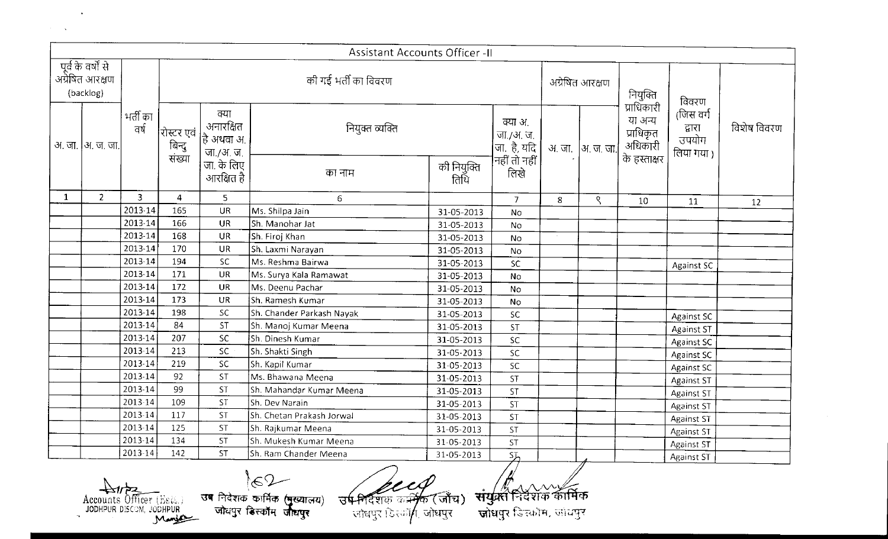|   |                                                    |                  |                                          |                                                      | <b>Assistant Accounts Officer - II</b>                                                                                        |                     |                                                     |   |                  |                                                               |                                           |             |
|---|----------------------------------------------------|------------------|------------------------------------------|------------------------------------------------------|-------------------------------------------------------------------------------------------------------------------------------|---------------------|-----------------------------------------------------|---|------------------|---------------------------------------------------------------|-------------------------------------------|-------------|
|   | पूर्व के वर्षों से<br>अग्रेषित आरक्षण<br>(backlog) |                  |                                          |                                                      | की गई भर्ती का विवरण                                                                                                          |                     |                                                     |   | अग्रेषित आरक्षण  | नियुक्ति                                                      | विवरण                                     |             |
|   | अ. जा.  अ. ज. जा.                                  | भर्ती का<br>वर्ष | रोस्टर एवं<br>     बिन्दु<br>     संख्या | क्या<br>अनारक्षित<br>$\vert$ है अथवा अ.<br>जा./अ. ज. | नियुक्त व्यक्ति                                                                                                               |                     | क्या अ.<br>जा /अ. ज.<br>जि. है, यदि<br>नहीं तो नहीं |   | अ. जा  अ. ज. जा. | प्राधिकारी<br>या अन्य<br>प्राधिकृत<br>अधिकारी<br>के हस्ताक्षर | (जिस वर्ग<br>द्वारा<br>उपयोग<br>लिया गया) | विशेष विवरण |
|   |                                                    |                  |                                          | जा. के लिए<br>आरक्षित है                             | का नाम                                                                                                                        | की नियुक्ति<br>तिथि | लिखे                                                |   |                  |                                                               |                                           |             |
| 1 | $\mathbf{Z}$                                       | 3                | 4                                        | 5                                                    | $\epsilon$                                                                                                                    |                     | $\overline{7}$                                      | 8 | ९                | 10                                                            | 11                                        | 12          |
|   |                                                    | 2013-14          | 165                                      | <b>UR</b>                                            | Ms. Shilpa Jain                                                                                                               | 31-05-2013          | No                                                  |   |                  |                                                               |                                           |             |
|   |                                                    | 2013-14          | 166                                      | <b>UR</b>                                            | Sh. Manohar Jat                                                                                                               | 31-05-2013          | No                                                  |   |                  |                                                               |                                           |             |
|   |                                                    | 2013-14          | 168                                      | <b>UR</b>                                            | Sh. Firoj Khan                                                                                                                | 31-05-2013          | No                                                  |   |                  |                                                               |                                           |             |
|   |                                                    | 2013-14          | 170                                      | UR                                                   | Sh. Laxmi Narayan                                                                                                             | 31-05-2013          | No                                                  |   |                  |                                                               |                                           |             |
|   |                                                    | 2013-14          | 194                                      | SC.                                                  | Ms. Reshma Bairwa                                                                                                             | 31-05-2013          | <b>SC</b>                                           |   |                  |                                                               | Against SC                                |             |
|   |                                                    | 2013-14          | 171                                      | <b>UR</b>                                            | Ms. Surya Kala Ramawat                                                                                                        | 31-05-2013          | No                                                  |   |                  |                                                               |                                           |             |
|   |                                                    | 2013-14          | 172                                      | <b>UR</b>                                            | Ms. Deenu Pachar                                                                                                              | 31-05-2013          | No                                                  |   |                  |                                                               |                                           |             |
|   |                                                    | 2013-14          | 173                                      | <b>UR</b>                                            | Sh. Ramesh Kumar                                                                                                              | 31-05-2013          | <b>No</b>                                           |   |                  |                                                               |                                           |             |
|   |                                                    | 2013-14          | 198                                      | SC.                                                  | Sh. Chander Parkash Nayak                                                                                                     | 31-05-2013          | <b>SC</b>                                           |   |                  |                                                               | Against SC                                |             |
|   |                                                    | 2013-14          | 84                                       | <b>ST</b>                                            | Sh. Manoj Kumar Meena                                                                                                         | 31-05-2013          | <b>ST</b>                                           |   |                  |                                                               | <b>Against ST</b>                         |             |
|   |                                                    | 2013-14          | 207                                      | <b>SC</b>                                            | Sh. Dinesh Kumar                                                                                                              | 31-05-2013          | SC.                                                 |   |                  |                                                               | <b>Against SC</b>                         |             |
|   |                                                    | 2013-14          | 213                                      | SC.                                                  | Sh. Shakti Singh                                                                                                              | 31-05-2013          | SC                                                  |   |                  |                                                               | <b>Against SC</b>                         |             |
|   |                                                    | 2013-14          | 219                                      | SC                                                   | Sh. Kapil Kumar                                                                                                               | 31-05-2013          | SC                                                  |   |                  |                                                               | Against SC                                |             |
|   |                                                    | 2013-14          | 92                                       | <b>ST</b>                                            | Ms. Bhawana Meena                                                                                                             | 31-05-2013          | <b>ST</b>                                           |   |                  |                                                               | Against ST                                |             |
|   |                                                    | 2013-14          | 99                                       | <b>ST</b>                                            | Sh. Mahandar Kumar Meena                                                                                                      | 31-05-2013          | <b>ST</b>                                           |   |                  |                                                               | Against ST                                |             |
|   |                                                    | 2013-14          | 109                                      | ST                                                   | Sh. Dev Narain                                                                                                                | 31-05-2013          | ST                                                  |   |                  |                                                               | Against ST                                |             |
|   |                                                    | 2013-14          | 117                                      | <b>ST</b>                                            | Sh. Chetan Prakash Jorwal                                                                                                     | 31-05-2013          | <b>ST</b>                                           |   |                  |                                                               | <b>Against ST</b>                         |             |
|   |                                                    | 2013-14          | 125                                      | <b>ST</b>                                            | Sh. Rajkumar Meena                                                                                                            | 31-05-2013          | <b>ST</b>                                           |   |                  |                                                               | <b>Against ST</b>                         |             |
|   |                                                    | $2013 - 14$      | 134                                      | 5T                                                   | Sh. Mukesh Kumar Meena                                                                                                        | 31-05-2013          | ST                                                  |   |                  |                                                               | <b>Against ST</b>                         |             |
|   |                                                    | $2013 - 14$      | 142                                      | <b>ST</b>                                            | Sh. Ram Chander Meena                                                                                                         | 31-05-2013          | <b>ST</b>                                           |   |                  |                                                               | <b>Against ST</b>                         |             |
|   | Accounts Officer (Est.)                            |                  | JODHPUR DISCOM, JODHPUR                  |                                                      | 62<br>उष निदेशक कार्मिक (मुख्यालय)<br><b>उप-निर्देश</b> क कर्म्मक (जाँच)<br>जोधपुर डिस्कॉम जीधपुर<br>जोधपुर ।ेहस्कॉ∕ा, जोधपुर |                     | संयुक्त निर्देशक कार्मिक<br>जोधपुर डिन्कॉम, जायपुर  |   |                  |                                                               |                                           |             |

 $\sim 100$  km s  $^{-1}$  $\label{eq:2} \mathcal{L}(\mathcal{A}) = \mathcal{L}(\mathcal{A}) \mathcal{L}(\mathcal{A})$ 

|<br>| <u>पुन्नत निर्देशके द</u>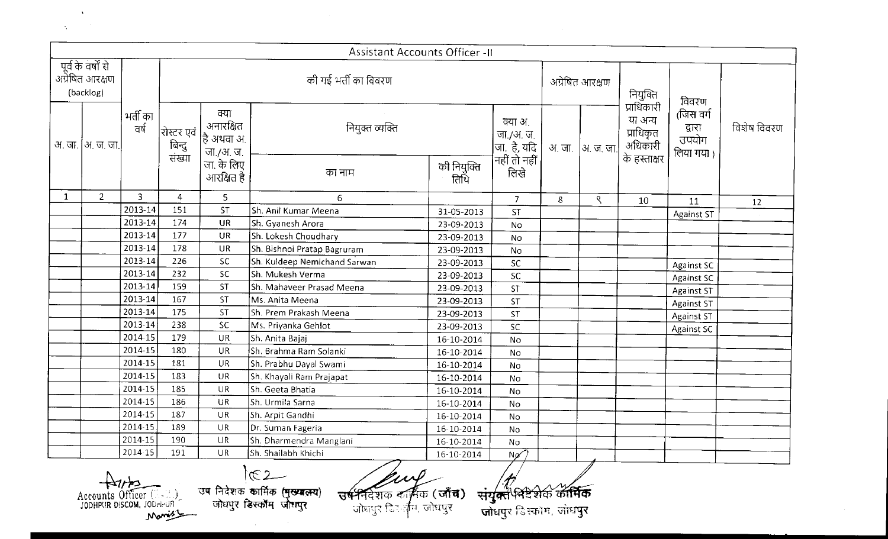|          | $\cdot$ |        |
|----------|---------|--------|
| $\Delta$ |         | $\sim$ |

|              |                                                      |                  |                                            |                                             | <b>Assistant Accounts Officer -II</b>                                                                                        |                     |                                                                         |       |                 |                                 |                                             |             |
|--------------|------------------------------------------------------|------------------|--------------------------------------------|---------------------------------------------|------------------------------------------------------------------------------------------------------------------------------|---------------------|-------------------------------------------------------------------------|-------|-----------------|---------------------------------|---------------------------------------------|-------------|
|              | ) पूर्व के वर्षों से<br>अग्रेषित आरक्षण<br>(backlog) |                  |                                            |                                             | की गई भर्ती का विवरण                                                                                                         |                     |                                                                         |       | अग्रेषित आरक्षण | नियुक्ति<br>प्राधिकारी          | विवरण                                       |             |
|              | अ. जा.  अ. ज. जा.                                    | भर्ती का<br>वर्ष | रोस्टर एवं  <br>     बिन्दु<br>     संख्या | क्या<br>अनारक्षित<br>हि अथवा अ<br>जा./अ. ज. | नियुक्त व्यक्ति                                                                                                              |                     | क्या अ.<br>  जा./अ. ज.<br>  जा. है, यदि<br>  नहीं तो नहीं<br>      लिखे | अ. जा | अ. ज. जा.       | या अन्य<br>प्राधिकृत<br>अधिकारी | (जिस वर्ग)<br>द्वारा<br>उपयोग<br>लिया गया ) | विशेष विवरण |
|              |                                                      |                  |                                            | जा. के लिए<br>आरक्षित <del>है</del>         | का नाम                                                                                                                       | को नियुक्ति<br>तिथि |                                                                         |       |                 | के हस्ताक्षर                    |                                             |             |
| $\mathbf{1}$ | 2 <sup>1</sup>                                       | 3                | 4                                          | 5                                           | 6                                                                                                                            |                     | $\overline{7}$                                                          | 8     | ९               | 10                              | 11                                          | 12          |
|              |                                                      | 2013-14          | 151                                        | <b>ST</b>                                   | Sh. Anil Kumar Meena                                                                                                         | 31-05-2013          | <b>ST</b>                                                               |       |                 |                                 | <b>Against ST</b>                           |             |
|              |                                                      | 2013-14          | 174                                        | <b>UR</b>                                   | Sh. Gyanesh Arora                                                                                                            | 23-09-2013          | No                                                                      |       |                 |                                 |                                             |             |
|              |                                                      | 2013-14          | 177                                        | <b>UR</b>                                   | Sh. Lokesh Choudhary                                                                                                         | 23-09-2013          | No                                                                      |       |                 |                                 |                                             |             |
|              |                                                      | 2013-14          | 178                                        | <b>UR</b>                                   | Sh. Bishnoi Pratap Bagruram                                                                                                  | 23-09-2013          | No                                                                      |       |                 |                                 |                                             |             |
|              |                                                      | 2013-14          | 226                                        | <b>SC</b>                                   | Sh. Kuldeep Nemichand Sarwan                                                                                                 | 23-09-2013          | <b>SC</b>                                                               |       |                 |                                 | <b>Against SC</b>                           |             |
|              |                                                      | 2013-14          | 232                                        | <b>SC</b>                                   | Sh. Mukesh Verma                                                                                                             | 23-09-2013          | <b>SC</b>                                                               |       |                 |                                 | <b>Against SC</b>                           |             |
|              |                                                      | 2013-14          | 159                                        | <b>ST</b>                                   | Sh. Mahaveer Prasad Meena                                                                                                    | 23-09-2013          | ST                                                                      |       |                 |                                 | <b>Against ST</b>                           |             |
|              |                                                      | 2013-14          | 167                                        | <b>ST</b>                                   | Ms. Anita Meena                                                                                                              | 23-09-2013          | <b>ST</b>                                                               |       |                 |                                 | <b>Against ST</b>                           |             |
|              |                                                      | 2013-14          | 175                                        | <b>ST</b>                                   | Sh. Prem Prakash Meena                                                                                                       | 23-09-2013          | ST                                                                      |       |                 |                                 | Against ST                                  |             |
|              |                                                      | 2013-14          | 238                                        | <b>SC</b>                                   | Ms. Priyanka Gehlot                                                                                                          | 23-09-2013          | SC                                                                      |       |                 |                                 | Against SC                                  |             |
|              |                                                      | 2014-15          | 179                                        | <b>UR</b>                                   | Sh. Anita Bajaj                                                                                                              | 16-10-2014          | <b>No</b>                                                               |       |                 |                                 |                                             |             |
|              |                                                      | 2014-15          | 180                                        | <b>UR</b>                                   | Sh. Brahma Ram Solanki                                                                                                       | 16-10-2014          | No                                                                      |       |                 |                                 |                                             |             |
|              |                                                      | 2014-15          | 181                                        | <b>UR</b>                                   | Sh. Prabhu Dayal Swami                                                                                                       | 16-10-2014          | No                                                                      |       |                 |                                 |                                             |             |
|              |                                                      | 2014-15          | 183                                        | UR                                          | Sh. Khayali Ram Prajapat                                                                                                     | 16-10-2014          | No                                                                      |       |                 |                                 |                                             |             |
|              |                                                      | 2014-15          | 185                                        | UR                                          | Sh. Geeta Bhatia                                                                                                             | 16-10-2014          | No                                                                      |       |                 |                                 |                                             |             |
|              |                                                      | 2014-15          | 186                                        | UR                                          | Sh. Urmila Sarna                                                                                                             | 16-10-2014          | No                                                                      |       |                 |                                 |                                             |             |
|              |                                                      | 2014-15          | 187                                        | UR                                          | Sh. Arpit Gandhi                                                                                                             | 16-10-2014          | No                                                                      |       |                 |                                 |                                             |             |
|              |                                                      | 2014-15          | 189                                        | UR                                          | Dr. Suman Fageria                                                                                                            | 16-10-2014          | No                                                                      |       |                 |                                 |                                             |             |
|              |                                                      | 2014-15          | 190                                        | UR                                          | Sh. Dharmendra Manglani                                                                                                      | 16-10-2014          | No                                                                      |       |                 |                                 |                                             |             |
|              |                                                      | 2014 15          | 191                                        | UR                                          | Sh. Shailabh Khichi                                                                                                          | 16-10-2014          | Ng                                                                      |       |                 |                                 |                                             |             |
|              | Accounts Officer (<br>JODHPUR DISCOM, JODHPUR        |                  | Mariss                                     |                                             | তব্দ নিবছাক কাৰ্দিক ( <del>দুভয়েনে</del> য)<br>$\frac{1}{3}$ जमिक (जाँच)<br>जोधपुर डिस्कॉम जोधपुर<br>जोधपुर जिल्लीम, जोधपुर |                     | संयुक्त भिटेशक कार्मिक<br>जोधपुर डिस्कोम, जोधपुर                        |       |                 |                                 |                                             |             |

キャンド Accounts Officer (1991)

.<br>निटेशक )<br>| G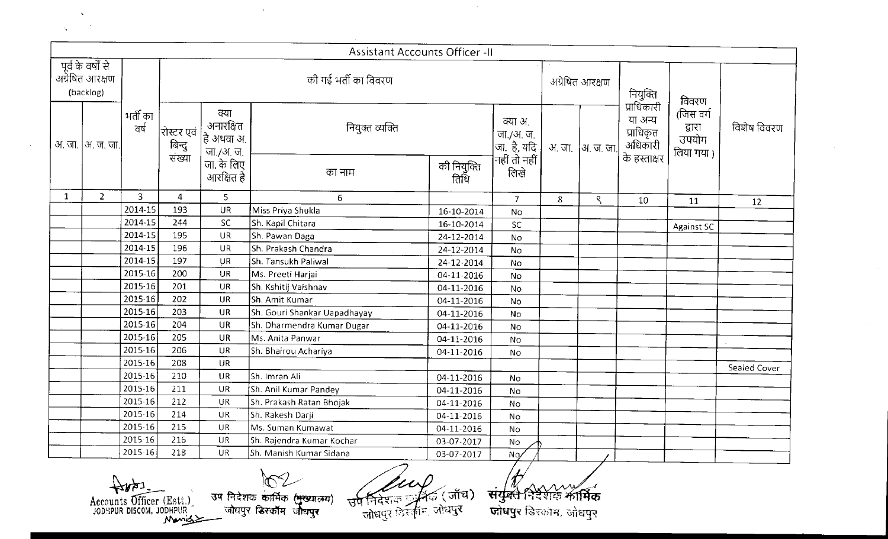|              | $\lambda$ |   |  |
|--------------|-----------|---|--|
| $\mathbf{A}$ |           | ٠ |  |

|              |                                                    |                          |                                |                                                                    | Assistant Accounts Officer -II                       |                     |                                                                           |                                                                            |                   |                                                 |                                           |              |
|--------------|----------------------------------------------------|--------------------------|--------------------------------|--------------------------------------------------------------------|------------------------------------------------------|---------------------|---------------------------------------------------------------------------|----------------------------------------------------------------------------|-------------------|-------------------------------------------------|-------------------------------------------|--------------|
|              | पूर्व के वर्षों से<br>अग्रेषित आरक्षण<br>(backlog) |                          |                                |                                                                    | की गई भर्ती का विवरण                                 |                     |                                                                           |                                                                            | अग्रेषित आरक्षण   | नियुक्ति<br>प्राधिकारी                          | विवरण                                     |              |
|              | अ. जा.  अ. ज. जा.                                  | भर्ती का<br>ਕਰ           | रोस्टर एवं<br>बिन्दु<br>संख्या | क्या<br>अनारक्षित<br>$ \hat{\bar{\mathsf{c}}}$ अथवा अ<br>जा./अ. ज. | नियुक्त व्यक्ति                                      |                     | क्या अ.<br>  जा./अ. ज.<br>  जा. है, यदि<br>  नहीं तो नहीं  <br>      लिखे |                                                                            | अ. जा.  अ. ज. जा. | या अन्य<br>प्राधिकृत<br>अधिकारी<br>के हस्ताक्षर | (जिस वर्ग<br>द्धारा<br>उपयोग<br>लिया गया) | विशेष विवरण  |
|              |                                                    |                          |                                | जा. के लिए<br>आरक्षित है                                           | का नाम                                               | की नियुक्ति<br>तिथि |                                                                           |                                                                            |                   |                                                 |                                           |              |
| $\mathbf{1}$ | $2^{\circ}$                                        | $\mathbf{3}$             | 4                              | 5                                                                  | 6                                                    |                     | $\overline{7}$                                                            | 8                                                                          | ९                 | 10                                              | 11                                        | 12           |
|              |                                                    | 2014-15                  | 193                            | <b>UR</b>                                                          | Miss Priya Shukla                                    | 16-10-2014          | No                                                                        |                                                                            |                   |                                                 |                                           |              |
|              |                                                    | 2014-15                  | 244                            | SC                                                                 | Sh. Kapil Chitara                                    | 16-10-2014          | <b>SC</b>                                                                 |                                                                            |                   |                                                 | <b>Against SC</b>                         |              |
|              |                                                    | 2014-15                  | 195                            | <b>UR</b>                                                          | Sh. Pawan Daga                                       | 24-12-2014          | No                                                                        |                                                                            |                   |                                                 |                                           |              |
|              |                                                    | 2014-15                  | 196                            | <b>UR</b>                                                          | Sh. Prakash Chandra                                  | 24-12-2014          | No                                                                        |                                                                            |                   |                                                 |                                           |              |
|              |                                                    | 2014-15                  | 197                            | <b>UR</b>                                                          | Sh. Tansukh Paliwal                                  | 24-12-2014          | No                                                                        |                                                                            |                   |                                                 |                                           |              |
|              |                                                    | 2015-16                  | 200                            | UR                                                                 | Ms. Preeti Harjai                                    | 04-11-2016          | No                                                                        |                                                                            |                   |                                                 |                                           |              |
|              |                                                    | 2015-16                  | 201                            | <b>UR</b>                                                          | Sh. Kshitij Vaishnav                                 | 04-11-2016          | No                                                                        |                                                                            |                   |                                                 |                                           |              |
|              |                                                    | 2015-16                  | 202                            | <b>UR</b>                                                          | Sh. Amit Kumar                                       | 04-11-2016          | No                                                                        |                                                                            |                   |                                                 |                                           |              |
|              |                                                    | 2015-16                  | 203                            | <b>UR</b>                                                          | Sh. Gouri Shankar Uapadhayay                         | 04-11-2016          | No                                                                        |                                                                            |                   |                                                 |                                           |              |
|              |                                                    | 2015-16                  | 204                            | <b>UR</b>                                                          | Sh. Dharmendra Kumar Dugar                           | 04-11-2016          | No                                                                        |                                                                            |                   |                                                 |                                           |              |
|              |                                                    | 2015-16                  | 205                            | <b>UR</b>                                                          | Ms. Anita Panwar                                     | 04-11-2016          | No                                                                        |                                                                            |                   |                                                 |                                           |              |
|              |                                                    | 2015-16                  | 206                            | <b>UR</b>                                                          | Sh. Bhairou Achariya                                 | 04-11-2016          | No                                                                        |                                                                            |                   |                                                 |                                           |              |
|              |                                                    | 2015-16                  | 203                            | <b>UR</b>                                                          |                                                      |                     |                                                                           |                                                                            |                   |                                                 |                                           | Sealed Cover |
|              |                                                    | $2015 - 16$              | 210                            | <b>UR</b>                                                          | Sh. Imran Ali                                        | 04-11-2016          | No                                                                        |                                                                            |                   |                                                 |                                           |              |
|              |                                                    | 2015-16                  | 211                            | <b>UR</b>                                                          | Sh. Anil Kumar Pandey                                | 04-11-2016          | No                                                                        |                                                                            |                   |                                                 |                                           |              |
|              |                                                    | $2015 - 16$              | 212                            | <b>UR</b>                                                          | Sh. Prakash Ratan Bhojak                             | 04-11-2016          | No                                                                        |                                                                            |                   |                                                 |                                           |              |
|              |                                                    | 2015-16                  | 214                            | <b>UR</b>                                                          | Sh. Rakesh Darji                                     | 04-11-2016          | No                                                                        |                                                                            |                   |                                                 |                                           |              |
|              |                                                    | 2015-16                  | 215                            | <b>UR</b>                                                          | Ms. Suman Kumawat                                    | 04-11-2016          | No                                                                        |                                                                            |                   |                                                 |                                           |              |
|              |                                                    | 2015.16                  | 216                            | UR                                                                 | Sh. Rajendra Kumar Kochar                            | 03-07-2017          | No.                                                                       |                                                                            |                   |                                                 |                                           |              |
|              |                                                    | $2015 - 16$              | 218                            | UR                                                                 | Sh. Manish Kumar Sidana                              | 03-07-2017          | No,                                                                       |                                                                            |                   |                                                 |                                           |              |
|              |                                                    | Accounts Officer (Estt.) |                                |                                                                    | उष निदेशक कार्मिक ( <del>मुख्या</del> लय)<br>उपनिदेश | ि (जाँच)            |                                                                           | $\frac{1}{\sqrt{2}}\frac{1}{\sqrt{2}}\frac{1}{\sqrt{2}}\frac{1}{\sqrt{2}}$ | म्हामिक           |                                                 |                                           |              |

 $\mathcal{A}^{\mathcal{A}}$ 

Accounts Officer (Estt.)<br>JODHPUR DISCOM, JODHPUR 39 प्लेघपुर डिस्कॉम जीघपुर (भूख्यालय)

 $\mathcal{A}$ 

उप निदेशक यूनिक (जाँच)<br>जोधपुर डिस्कॉम, जोधपुर

**••**  *-* **1 i~~** .

 $\sim 10^{-1}$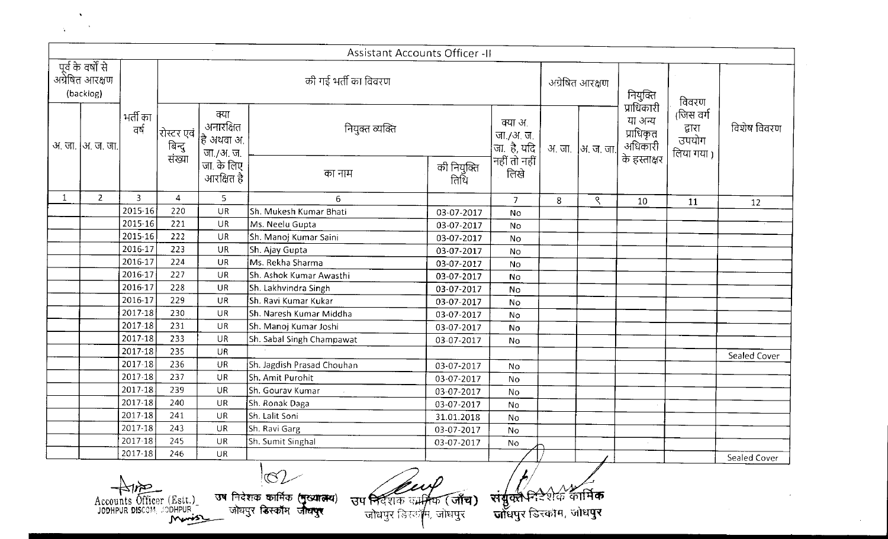| k.           |  |
|--------------|--|
| <b>STATE</b> |  |

 $\Delta$ 

|              |                                                    |                  |                                |                                              | <b>Assistant Accounts Officer -II</b> |                 |                                                                           |          |              |                                               |                                           |              |
|--------------|----------------------------------------------------|------------------|--------------------------------|----------------------------------------------|---------------------------------------|-----------------|---------------------------------------------------------------------------|----------|--------------|-----------------------------------------------|-------------------------------------------|--------------|
|              | पूर्व के वर्षों से<br>अग्रेषित आरक्षण<br>(backlog) |                  |                                | की गई भर्ती का विवरण                         |                                       | अग्रेषित आरक्षण |                                                                           | नियुक्ति | विवरण        |                                               |                                           |              |
|              | अ. जा.  अ. ज. जा.                                  | भर्ती का<br>वर्ष | रोस्टर एवं<br>बिन्दु<br>संख्या | क्या<br>अनारक्षित<br>है अथवा अ.<br>जा./अ. ज. | नियुक्त व्यक्ति                       |                 | क्या अ.<br>  जा./अ. ज.<br> जा.  है, यदि<br>   नहीं तो नहीं<br>       लिखे | अ. जा.   | ∫अ. ज. जा.   | प्राधिकारी<br>या अन्य<br>प्राधिकृत<br>अधिकारी | (जिस वर्ग<br>द्वारा<br>उपयोग<br>लिया गया। | विशेष विवरण  |
|              |                                                    |                  | जा. के लिए<br>आरक्षित है       | का नाम                                       | की नियुक्ति<br>तिथि                   |                 |                                                                           |          | के हस्ताक्षर |                                               |                                           |              |
| $\mathbf{1}$ | $\overline{2}$                                     | 3                | 4                              | 5                                            | 6                                     |                 | $\overline{7}$                                                            | 8        | ९            | 10                                            | 11                                        | 12           |
|              |                                                    | 2015-16          | 220                            | <b>UR</b>                                    | Sh. Mukesh Kumar Bhati                | 03-07-2017      | No                                                                        |          |              |                                               |                                           |              |
|              |                                                    | 2015-16          | 221                            | <b>UR</b>                                    | Ms. Neelu Gupta                       | 03-07-2017      | No                                                                        |          |              |                                               |                                           |              |
|              |                                                    | 2015-16          | 222                            | <b>UR</b>                                    | Sh. Manoj Kumar Saini                 | 03-07-2017      | No                                                                        |          |              |                                               |                                           |              |
|              |                                                    | 2016-17          | 223                            | UR                                           | Sh. Ajay Gupta                        | 03-07-2017      | No                                                                        |          |              |                                               |                                           |              |
|              |                                                    | 2016-17          | 224                            | <b>UR</b>                                    | Ms. Rekha Sharma                      | 03-07-2017      | No                                                                        |          |              |                                               |                                           |              |
|              |                                                    | 2016-17          | 227                            | UR                                           | Sh. Ashok Kumar Awasthi               | 03-07-2017      | No                                                                        |          |              |                                               |                                           |              |
|              |                                                    | 2016-17          | 228                            | <b>UR</b>                                    | Sh. Lakhvindra Singh                  | 03-07-2017      | No                                                                        |          |              |                                               |                                           |              |
|              |                                                    | 2016-17          | 229                            | <b>UR</b>                                    | <b>Sh. Ravi Kumar Kukar</b>           | 03-07-2017      | <b>No</b>                                                                 |          |              |                                               |                                           |              |
|              |                                                    | 2017-18          | 230                            | <b>UR</b>                                    | Sh. Naresh Kumar Middha               | 03-07-2017      | No                                                                        |          |              |                                               |                                           |              |
|              |                                                    | 2017-18          | 231                            | UR                                           | Sh. Manoj Kumar Joshi                 | 03-07-2017      | No                                                                        |          |              |                                               |                                           |              |
|              |                                                    | 2017-18          | 233                            | UR                                           | Sh. Sabal Singh Champawat             | 03-07-2017      | No                                                                        |          |              |                                               |                                           |              |
|              |                                                    | 2017-18          | 235                            | UR                                           |                                       |                 |                                                                           |          |              |                                               |                                           | Sealed Cover |
|              |                                                    | 2017-18          | 236                            | UR                                           | Sh. Jagdish Prasad Chouhan            | 03-07-2017      | <b>No</b>                                                                 |          |              |                                               |                                           |              |
|              |                                                    | 2017-18          | 237                            | UR                                           | Sh. Amit Purohit                      | 03-07-2017      | <b>No</b>                                                                 |          |              |                                               |                                           |              |
|              |                                                    | 2017-18          | 239                            | <b>UR</b>                                    | Sh. Gourav Kumar<br>$\sim$            | 03-07-2017      | No                                                                        |          |              |                                               |                                           |              |
|              |                                                    | 2017-18          | 240                            | <b>UR</b>                                    | Sh. Ronak Daga                        | 03-07-2017      | No                                                                        |          |              |                                               |                                           |              |
|              |                                                    | 2017-18          | 241                            | UR                                           | Sh. Lalit Soni                        | 31.01.2018      | No                                                                        |          |              |                                               |                                           |              |
|              |                                                    | 2017-18          | 243                            | UR                                           | Sh. Ravi Garg                         | 03-07-2017      | No                                                                        |          |              |                                               |                                           |              |
|              |                                                    | 2017-18          | 245                            | UR                                           | Sh. Sumit Singhal                     | 03-07-2017      | <b>No</b>                                                                 |          |              |                                               |                                           |              |
|              |                                                    | 2017-18          | 246                            | <b>UR</b>                                    | $\mathbf{L}$                          |                 |                                                                           |          |              |                                               |                                           | Sealed Cover |

JODHPUR DISCCM .'.J~DHPUR \_- >-- ~

**मिदेशक**<br>निदेशक जोघपुर <mark>डिस्कॉ</mark>ग '- { ~ ~

~ **'~**\_ **1.**

/<br>25 no<br>**क्षी मिडेशे कार्मिक** 

 $\sim$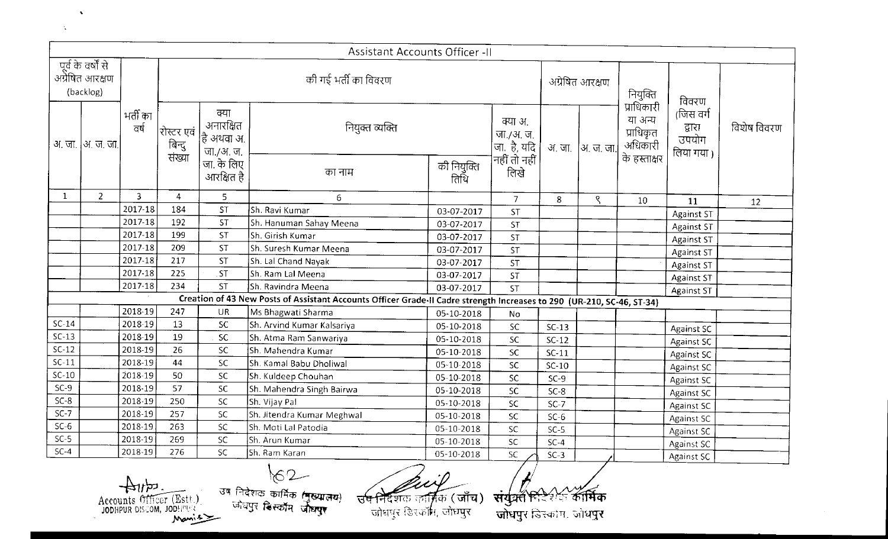|         |                                                     |                  |                                                     |                                               | Assistant Accounts Officer - II                                                                                                                             |                     |                                                         |         |                 |                                  |                                           |             |
|---------|-----------------------------------------------------|------------------|-----------------------------------------------------|-----------------------------------------------|-------------------------------------------------------------------------------------------------------------------------------------------------------------|---------------------|---------------------------------------------------------|---------|-----------------|----------------------------------|-------------------------------------------|-------------|
|         | पूर्व के वर्षों से<br>अंग्रेषित आरक्षण<br>(backlog) |                  |                                                     |                                               | की गई भर्ती का विवरण                                                                                                                                        |                     |                                                         |         | अग्रेषित आरक्षण | नियुक्ति<br>प्राधिकारी           | विवरण                                     |             |
|         | अ. जा.  अ. ज. जा.                                   | भर्ती का<br>ਕर्ष | रोस्टर एवं<br>बिन्दु<br>संख्या                      | क्या<br>अनारक्षित<br> है अथवा अ.<br>जा./अ. ज. | नियुक्त व्यक्ति                                                                                                                                             |                     | क्या अ.<br>$\begin{vmatrix}$ जा./अ. ज.<br> जा.  है, यदि |         | अ जा  अ ज जा।   | या अन्य<br>प्राधिकृत्<br>अधिकारी | (जिस वर्ग<br>द्वारा<br>उपयोग<br>लिया गया। | विशेष विवरण |
|         |                                                     |                  |                                                     | जा. के लिए<br>आरक्षित है                      | का नाम                                                                                                                                                      | की नियुक्ति<br>तिथि | नहीं तो नहीं<br>लिखे                                    |         |                 | के हस्ताक्षर                     |                                           |             |
| 1       | $\overline{2}$                                      | 3                | 4                                                   | 5.                                            | 6                                                                                                                                                           |                     | $\overline{7}$                                          | 8       | ९               | 10                               | 11                                        | 12          |
|         |                                                     | 2017-18          | 184                                                 | <b>ST</b>                                     | Sh. Ravi Kumar                                                                                                                                              | 03-07-2017          | ST                                                      |         |                 |                                  | <b>Against ST</b>                         |             |
|         |                                                     | 2017-18          | 192                                                 | ST                                            | Sh. Hanuman Sahay Meena                                                                                                                                     | 03-07-2017          | <b>ST</b>                                               |         |                 |                                  | <b>Against ST</b>                         |             |
|         |                                                     | 2017-18          | 199                                                 | <b>ST</b>                                     | Sh. Girish Kumar                                                                                                                                            | 03-07-2017          | <b>ST</b>                                               |         |                 |                                  | <b>Against ST</b>                         |             |
|         |                                                     | 2017-18          | 209                                                 | <b>ST</b>                                     | Sh. Suresh Kumar Meena                                                                                                                                      | 03-07-2017          | ST                                                      |         |                 |                                  | <b>Against ST</b>                         |             |
|         |                                                     | 2017-18          | 217                                                 | <b>ST</b>                                     | Sh. Lal Chand Nayak                                                                                                                                         | 03-07-2017          | <b>ST</b>                                               |         |                 |                                  | <b>Against ST</b>                         |             |
|         |                                                     | 2017-18          | 225                                                 | .ST                                           | Sh. Ram Lal Meena                                                                                                                                           | 03-07-2017          | <b>ST</b>                                               |         |                 |                                  | Against ST                                |             |
|         |                                                     | 2017-18          | 234                                                 | <b>ST</b>                                     | Sh. Ravindra Meena                                                                                                                                          | 03-07-2017          | <b>ST</b>                                               |         |                 |                                  | Against ST                                |             |
|         |                                                     |                  |                                                     |                                               | Creation of 43 New Posts of Assistant Accounts Officer Grade-II Cadre strength Increases to 290 (UR-210, SC-46, ST-34)                                      |                     |                                                         |         |                 |                                  |                                           |             |
|         |                                                     | 2018-19          | 247                                                 | UR                                            | Ms Bhagwati Sharma                                                                                                                                          | 05-10-2018          | No                                                      |         |                 |                                  |                                           |             |
| $SC-14$ |                                                     | 2018-19          | 13                                                  | <b>SC</b>                                     | Sh. Arvind Kumar Kalsariya                                                                                                                                  | 05-10-2018          | SC                                                      | $SC-13$ |                 |                                  | <b>Against SC</b>                         |             |
| $SC-13$ |                                                     | 2018-19          | 19                                                  | <b>SC</b>                                     | Sh. Atma Ram Sanwariya                                                                                                                                      | 05-10-2018          | <b>SC</b>                                               | SC-12   |                 |                                  | <b>Against SC</b>                         |             |
| $SC-12$ |                                                     | 2018-19          | 26                                                  | <b>SC</b>                                     | Sh. Mahendra Kumar                                                                                                                                          | 05-10-2018          | <b>SC</b>                                               | $SC-11$ |                 |                                  | <b>Against SC</b>                         |             |
| $SC-11$ |                                                     | 2018-19          | 44                                                  | SC                                            | Sh. Kamal Babu Dholiwal                                                                                                                                     | 05-10-2018          | SC                                                      | $SC-10$ |                 |                                  | Against SC                                |             |
| $SC-10$ |                                                     | 2018-19          | 50                                                  | SC.                                           | Sh. Kuldeep Chouhan                                                                                                                                         | 05-10-2018          | <b>SC</b>                                               | $SC-9$  |                 |                                  | <b>Against SC</b>                         |             |
| $SC-9$  |                                                     | 2018-19          | 57                                                  | <b>SC</b>                                     | Sh. Mahendra Singh Bairwa                                                                                                                                   | 05-10-2018          | <b>SC</b>                                               | $SC-8$  |                 |                                  | <b>Against SC</b>                         |             |
| $SC-8$  |                                                     | 2018-19          | 250                                                 | <b>SC</b>                                     | Sh. Vijay Pal                                                                                                                                               | 05-10-2018          | SC                                                      | $SC-7$  |                 |                                  | Against SC                                |             |
| $SC-7$  |                                                     | 2018-19          | 257                                                 | SC                                            | Sh. Jitendra Kumar Meghwal                                                                                                                                  | 05-10-2018          | SC                                                      | $SC-6$  |                 |                                  | Against SC                                |             |
| $SC-6$  |                                                     | 2018-19          | 263                                                 | SC                                            | Sh. Moti Lal Patodia                                                                                                                                        | 05-10-2018          | SC                                                      | $SC-5$  |                 |                                  | Against SC                                |             |
| $SC-5$  |                                                     | $2018-19$        | 269                                                 | SC.                                           | Sh. Arun Kumar                                                                                                                                              | 05-10-2018          | SC                                                      | $SC-4$  |                 |                                  | Against SC                                |             |
| $SC-4$  |                                                     | 2018-19          | 276                                                 | SC.                                           | Sh. Ram Karan                                                                                                                                               | 05-10-2018          | SC.                                                     | $SC-3$  |                 |                                  | Against SC                                |             |
|         |                                                     | כקי              | Accounts Officer (Estt.)<br>JODHPUR DISCOM, JODHPUR |                                               | े<br>उष निदेशक कार्मिक ( <b>मुख्यालय</b> )<br><sup>- जोधपुर डिस्कॉम 'जीव<b>प्</b>र</sup><br><del>उप निदेश</del> क कार्त्रिक (जाँच)।<br>जोधपर डिस्कॉम, जोधपर |                     | संयूक्स हिडिशन कार्मिक<br>vouen misson and              |         |                 |                                  |                                           |             |

Button (Est.)

 $\mathbf{v}$ 

 $\Delta$ 

*l! !*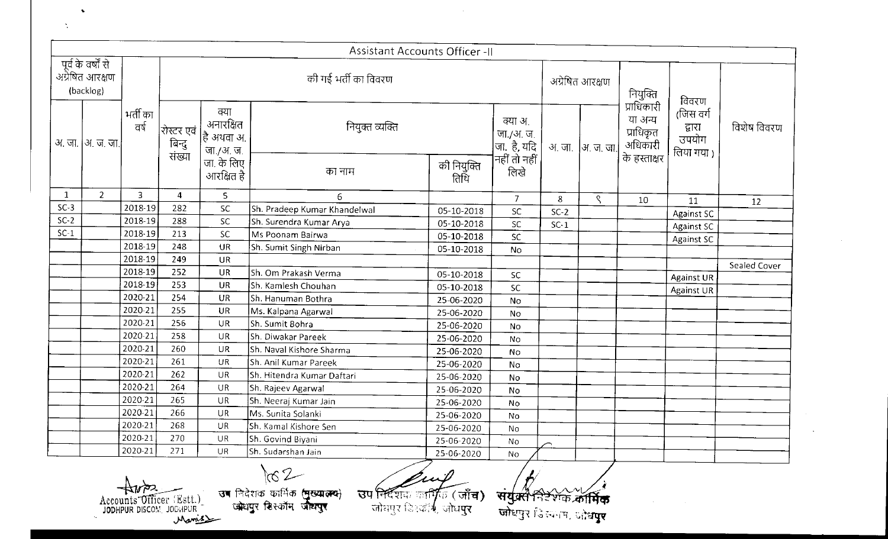|        |                                                     |                    |                                                               |                                               | Assistant Accounts Officer -II                                                                                                                   |                          |                                                                         |        |                   |                                                   |                                            |              |
|--------|-----------------------------------------------------|--------------------|---------------------------------------------------------------|-----------------------------------------------|--------------------------------------------------------------------------------------------------------------------------------------------------|--------------------------|-------------------------------------------------------------------------|--------|-------------------|---------------------------------------------------|--------------------------------------------|--------------|
|        | पूर्व के वर्षों से<br>अंग्रेषित आरक्षण<br>(backlog) |                    |                                                               |                                               | की गई भर्ती का विवरण                                                                                                                             |                          |                                                                         |        | अग्रेषित आरक्षण   | नियुक्ति<br>प्राधिकारी                            | विवरण                                      |              |
|        | अ. जा.  अ. ज. जा.                                   | भर्ती का<br>वर्ष   | रोस्टर एवं<br>बिन्दु<br>संख्या                                | क्या<br>अनारक्षित<br> है अथवा अ.<br>जा./अ. ज. | नियुक्त व्यक्ति                                                                                                                                  |                          | क्या अ.<br>  जा./अ. ज.<br> जा. है, यदि<br> नहीं तो नहीं<br>        लिखे |        | अ. जा.  अ. ज. जा. | या अन्य<br>प्राधिकृत<br>अधिकारी<br>। के हस्ताक्षर | (जिस वर्ग<br>द्वारा<br>उपयोग<br>लिया गया ) | विशेष विवरण  |
|        |                                                     |                    |                                                               | जा के लिए<br>आरक्षित है                       | का नाम                                                                                                                                           | की नियुक्ति<br>तिथि      |                                                                         |        |                   |                                                   |                                            |              |
| 1      | 2 <sup>1</sup>                                      | 3                  | $\overline{4}$                                                | 5                                             | 6                                                                                                                                                |                          | $\overline{7}$                                                          | 8      | ९                 | 10                                                | 11                                         | 12           |
| $SC-3$ |                                                     | 2018-19            | 282                                                           | <b>SC</b>                                     | Sh. Pradeep Kumar Khandelwal                                                                                                                     | 05-10-2018               | <b>SC</b>                                                               | $SC-2$ |                   |                                                   | Against SC                                 |              |
| $SC-2$ |                                                     | 2018-19            | 288                                                           | SC                                            | Sh. Surendra Kumar Arya                                                                                                                          | 05-10-2018               | SC                                                                      | $SC-1$ |                   |                                                   | Against SC                                 |              |
| $SC-1$ |                                                     | 2018-19            | 213                                                           | <b>SC</b>                                     | Ms Poonam Bairwa                                                                                                                                 | 05-10-2018               | SC                                                                      |        |                   |                                                   | <b>Against SC</b>                          |              |
|        |                                                     | 2018-19            | 248                                                           | <b>UR</b>                                     | Sh. Sumit Singh Nirban                                                                                                                           | 05-10-2018               | No                                                                      |        |                   |                                                   |                                            |              |
|        |                                                     | 2018-19            | 249                                                           | <b>UR</b>                                     |                                                                                                                                                  |                          |                                                                         |        |                   |                                                   |                                            | Sealed Cover |
|        |                                                     | 2018-19            | 252                                                           | UR                                            | Sh. Om Prakash Verma                                                                                                                             | 05-10-2018               | <b>SC</b>                                                               |        |                   |                                                   | <b>Against UR</b>                          |              |
|        |                                                     | 2018-19            | 253                                                           | <b>UR</b>                                     | Sh. Kamlesh Chouhan                                                                                                                              | 05-10-2018               | <b>SC</b>                                                               |        |                   |                                                   | Against UR                                 |              |
|        |                                                     | 2020-21<br>2020-21 | 254<br>255                                                    | <b>UR</b>                                     | Sh. Hanuman Bothra                                                                                                                               | 25-06-2020               | No                                                                      |        |                   |                                                   |                                            |              |
|        |                                                     | 2020-21            | 256                                                           | UR<br><b>UR</b>                               | Ms. Kalpana Agarwal                                                                                                                              | 25-06-2020               | No                                                                      |        |                   |                                                   |                                            |              |
|        |                                                     | 2020-21            | 258                                                           | <b>UR</b>                                     | Sh. Sumit Bohra<br>Sh. Diwakar Pareek                                                                                                            | 25-06-2020               | No                                                                      |        |                   |                                                   |                                            |              |
|        |                                                     | 2020 21            | 260                                                           | UR                                            | Sh. Naval Kishore Sharma                                                                                                                         | 25-06-2020               | No                                                                      |        |                   |                                                   |                                            |              |
|        |                                                     | 2020-21            | 261                                                           | UR                                            | Sh. Anil Kumar Pareek                                                                                                                            | 25-06-2020               | No                                                                      |        |                   |                                                   |                                            |              |
|        |                                                     | 2020-21            | 262                                                           | UR                                            | Sh. Hitendra Kumar Daftari                                                                                                                       | 25-06-2020               | No                                                                      |        |                   |                                                   |                                            |              |
|        |                                                     | 2020-21            | 264                                                           | UR                                            | Sh. Rajeev Agarwal                                                                                                                               | 25-06-2020               | No                                                                      |        |                   |                                                   |                                            |              |
|        |                                                     | 2020-21            | 265                                                           | UR                                            | Sh. Neeraj Kumar Jain                                                                                                                            | 25-06-2020<br>25-06-2020 | No                                                                      |        |                   |                                                   |                                            |              |
|        |                                                     | 2020-21            | 266                                                           | <b>UR</b>                                     | Ms. Sunita Solanki                                                                                                                               | 25-06-2020               | No                                                                      |        |                   |                                                   |                                            |              |
|        |                                                     | 2020-21            | 268                                                           | UR                                            | Sh. Kamal Kishore Sen                                                                                                                            | 25-06-2020               | No<br>No                                                                |        |                   |                                                   |                                            |              |
|        |                                                     | 2020-21            | 270                                                           | <b>UR</b>                                     | Sh. Govind Biyani                                                                                                                                | 25-06-2020               | No                                                                      |        |                   |                                                   |                                            |              |
|        |                                                     | 2020-21            | 271                                                           | UR                                            | Sh. Sudarshan Jain                                                                                                                               | 25-06-2020               | No                                                                      |        |                   |                                                   |                                            |              |
|        |                                                     |                    | Accounts Officer (Estt.)<br>JODHPUR DISCOM, JODHPUR<br>Maniss |                                               | 7 C<br>उष निदेशक कार्मिक (मुख्यात्म्य)<br><b>उप नि</b> र्देशक कार्कि (जाँ <b>च)</b><br>जोधपुर हिस्कॉम जोधपुर<br>जोधपुर डिस्कॉर्म, जोध <b>पुर</b> |                          | सयुक्त<br>जोधपुर जिल्माम, प्रोध <b>पुर</b>                              |        |                   |                                                   |                                            |              |

 $\sim 10^7$ 

ICO<br> **ALLES CHELL** JOHN CONDUCT CHELL<br> **ALLES CHELL** CONDUPUR<br> *Mamis* 

•

 $\ddot{\phantom{a}}$ 

 $\Box$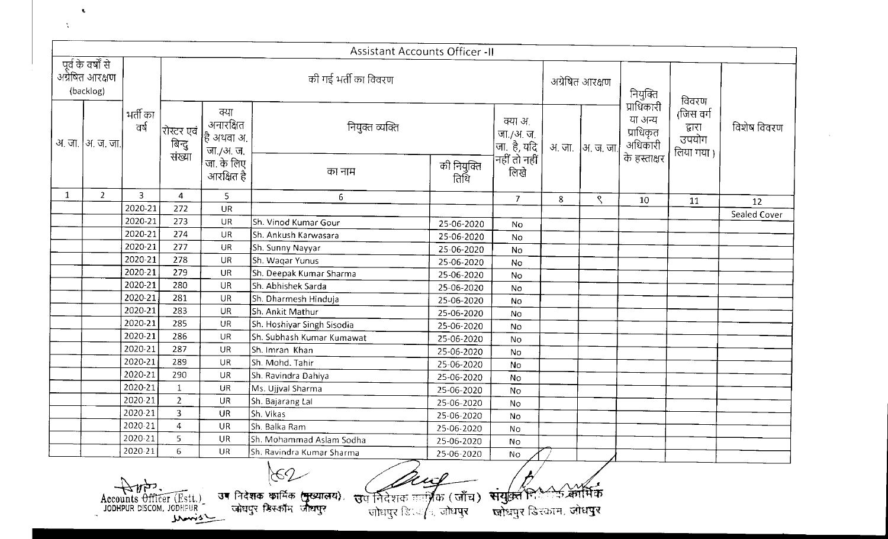|              |                                                    |                  |                                |                                                        | Assistant Accounts Officer -II                                                                                                                               |                     |                                                             |   |                   |                                 |                                           |              |
|--------------|----------------------------------------------------|------------------|--------------------------------|--------------------------------------------------------|--------------------------------------------------------------------------------------------------------------------------------------------------------------|---------------------|-------------------------------------------------------------|---|-------------------|---------------------------------|-------------------------------------------|--------------|
|              | पूर्व के वर्षों से<br>अग्रेषित आरक्षण<br>(backlog) |                  |                                |                                                        | की गई भर्ती का विवरण                                                                                                                                         |                     |                                                             |   | अग्रेषित आरक्षण   | नियुक्ति<br>प्राधिकारी          | विवरण                                     |              |
|              | अ. जा.  अ. ज. जा.                                  | भर्ती का<br>वर्ष | रोस्टर एवं<br>बिन्दु<br>संख्या | क्या<br>अनारक्षित<br>$\frac{1}{6}$ अथवा अ<br>जा./अ. ज. | नियुक्त व्यक्ति                                                                                                                                              |                     | क्या अ.<br>  जा./अ. ज.  <br> जा. है, यदि  <br> नहीं तो नहीं |   | अ. जा.  अ. ज. जा. | या अन्य<br>प्राधिकृत<br>अधिकारी | (जिस वर्ग<br>द्वारा<br>उपयोग<br>लिया गया। | विशेष विवरण  |
|              |                                                    |                  |                                | जा. के लिए<br>आरक्षित है                               | का नाम                                                                                                                                                       | की नियुक्ति<br>तिथि | लिखे                                                        |   |                   | के हस्ताक्षर                    |                                           |              |
| $\mathbf{1}$ | 2 <sup>1</sup>                                     | 3                | 4                              | 5                                                      | 6                                                                                                                                                            |                     | $\overline{7}$                                              | 8 | ९                 | 10                              | 11                                        | 12           |
|              |                                                    | 2020-21          | 272                            | <b>UR</b>                                              |                                                                                                                                                              |                     |                                                             |   |                   |                                 |                                           | Sealed Cover |
|              |                                                    | 2020-21          | 273                            | UR                                                     | Sh. Vinod Kumar Gour                                                                                                                                         | 25-06-2020          | No                                                          |   |                   |                                 |                                           |              |
|              |                                                    | 2020-21          | 274                            | <b>UR</b>                                              | Sh. Ankush Karwasara                                                                                                                                         | 25-06-2020          | No                                                          |   |                   |                                 |                                           |              |
|              |                                                    | 2020-21          | 277                            | <b>UR</b>                                              | Sh. Sunny Nayyar                                                                                                                                             | 25-06-2020          | No                                                          |   |                   |                                 |                                           |              |
|              |                                                    | 2020-21          | 278                            | <b>UR</b>                                              | Sh. Waqar Yunus                                                                                                                                              | 25-06-2020          | No                                                          |   |                   |                                 |                                           |              |
|              |                                                    | 2020-21          | 279                            | <b>UR</b>                                              | Sh. Deepak Kumar Sharma                                                                                                                                      | 25-06-2020          | No                                                          |   |                   |                                 |                                           |              |
|              |                                                    | 2020-21          | 280                            | <b>UR</b>                                              | Sh. Abhishek Sarda                                                                                                                                           | 25-06-2020          | No                                                          |   |                   |                                 |                                           |              |
|              |                                                    | 2020-21          | 281                            | <b>UR</b>                                              | Sh. Dharmesh Hinduja                                                                                                                                         | 25-06-2020          | No                                                          |   |                   |                                 |                                           |              |
|              |                                                    | 2020-21          | 283                            | UR                                                     | Sh. Ankit Mathur                                                                                                                                             | 25-06-2020          | No                                                          |   |                   |                                 |                                           |              |
|              |                                                    | 2020-21          | 285                            | <b>UR</b>                                              | Sh. Hoshiyar Singh Sisodia                                                                                                                                   | 25-06-2020          | No                                                          |   |                   |                                 |                                           |              |
|              |                                                    | 2020-21          | 286                            | <b>UR</b>                                              | Sh. Subhash Kumar Kumawat                                                                                                                                    | 25-06-2020          | No                                                          |   |                   |                                 |                                           |              |
|              |                                                    | 2020-21          | 287                            | <b>UR</b>                                              | Sh. Imran Khan                                                                                                                                               | 25-06-2020          | No                                                          |   |                   |                                 |                                           |              |
|              |                                                    | 2020-21          | 289                            | $\mathsf{U}\mathsf{R}$                                 | Sh. Mohd. Tahir                                                                                                                                              | 25-06-2020          | No                                                          |   |                   |                                 |                                           |              |
|              |                                                    | 2020-21          | 290                            | <b>UR</b>                                              | Sh. Ravindra Dahiya                                                                                                                                          | 25-06-2020          | No                                                          |   |                   |                                 |                                           |              |
|              |                                                    | 2020-21          | $\mathbf{1}$                   | UR                                                     | Ms. Ujjval Sharma                                                                                                                                            | 25-06-2020          | No                                                          |   |                   |                                 |                                           |              |
|              |                                                    | 2020-21          | $\overline{2}$                 | <b>UR</b>                                              | Sh. Bajarang Lal                                                                                                                                             | 25-06-2020          | No                                                          |   |                   |                                 |                                           |              |
|              |                                                    | 2020-21          | 3                              | <b>UR</b>                                              | Sh. Vikas                                                                                                                                                    | 25-06-2020          | No                                                          |   |                   |                                 |                                           |              |
|              |                                                    | 2020-21          | 4<br>$\mathbf{r}$              | <b>UR</b>                                              | Sh. Balka Ram                                                                                                                                                | 25-06-2020          | No                                                          |   |                   |                                 |                                           |              |
|              |                                                    | $2020 - 21$      |                                | UR                                                     | Sh. Mohammad Aslam Sodha                                                                                                                                     | 25-06-2020          | No                                                          |   |                   |                                 |                                           |              |
|              |                                                    | 2020-21          | 6.                             | <b>UR</b>                                              | Sh. Ravindra Kumar Sharma                                                                                                                                    | 25-06-2020          | No                                                          |   |                   |                                 |                                           |              |
|              |                                                    |                  | Accounts Officer (Estt.)       |                                                        | -62<br>उप निदेशक नार्ज़िक (जाँच) संयुक्ति निर्कटर्क कॉर्मिक<br>उन निदेशक कार्मिक ( <del>पु</del> ख्यालय).<br>जोघपुर डिस्कॉम जोधपुर<br>जोधपुर डि. इ/न, जोधपुर |                     | <u> लोधपुर डिस्काम, जोधपुर</u>                              |   |                   |                                 |                                           |              |

Accounts Officer (Est.) 34

 $\mathbf{t}$ 

 $\mathbf{X}$ 

 $162$ Fiदेशक कार्मिक (मुख्यालय), स्तत निर्देशक तार्गिक ( जाँच) संयुक्त रिकेटर्सि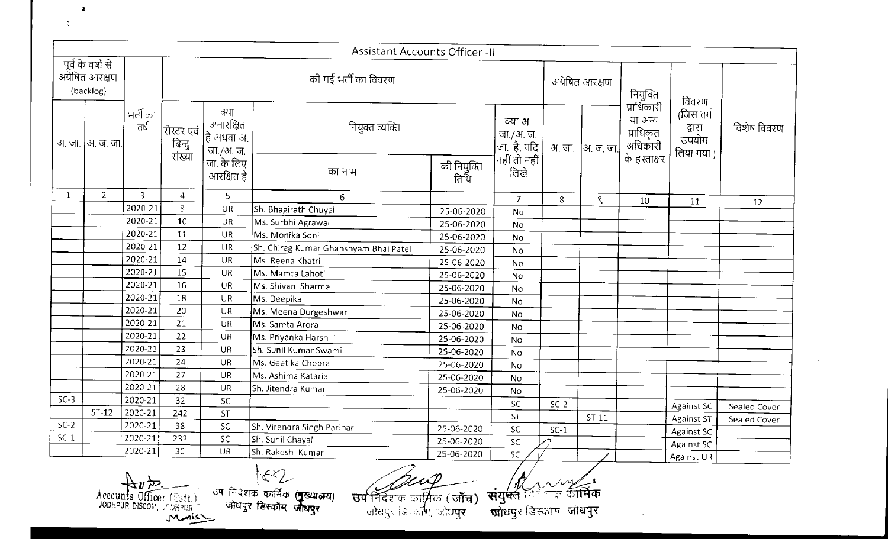|                                                    |                   |                    |                                        |                                              | Assistant Accounts Officer -II                           |                          |                                        |                                |         |                                                               |                                           |              |
|----------------------------------------------------|-------------------|--------------------|----------------------------------------|----------------------------------------------|----------------------------------------------------------|--------------------------|----------------------------------------|--------------------------------|---------|---------------------------------------------------------------|-------------------------------------------|--------------|
| पूर्व के वर्षों से<br>अग्रेषित आरक्षण<br>(backlog) |                   |                    |                                        |                                              | की गई भर्ती का विवरण                                     |                          |                                        | अग्रेषित आरक्षण                |         | नियुक्ति                                                      | विवरण                                     |              |
|                                                    | अ. जा.  अ. ज. जा. | भर्ती का<br>ਰਾ     | रोस्टर एवं<br>बिन्दु<br>संख्या         | क्या<br>अनारक्षित<br>हि अथवा अ.<br>जा./अ. ज. | नियुक्त व्यक्ति                                          |                          | क्या अ.<br>  जा./अ. ज.<br> जा. है, यदि | अ. जा.                         | अ.ज.जा  | प्राधिकारी<br>या अन्य<br>प्राधिकृत<br>अधिकारी<br>के हस्ताक्षर | (जिस वर्ग<br>द्वारा<br>उपयोग<br>लिया गया) | विशेष विवरण  |
|                                                    |                   |                    |                                        | जा. के लिए<br>आरक्षित है                     | का नाम                                                   | की नियुक्ति<br>तिथि      | नहीं तो नहीं<br>तिखे                   |                                |         |                                                               |                                           |              |
| $\mathbf{1}$                                       | $\overline{2}$    | $\overline{3}$     | $\overline{4}$                         | 5                                            | 6                                                        |                          | $\mathcal{I}$                          | 8                              | ९       | 10                                                            | 11                                        | 12           |
|                                                    |                   | 2020-21            | 8                                      | <b>UR</b>                                    | Sh. Bhagirath Chuyal                                     | 25-06-2020               | No                                     |                                |         |                                                               |                                           |              |
|                                                    |                   | 2020-21            | 10                                     | UR                                           | Ms. Surbhi Agrawal                                       | 25-06-2020               | No                                     |                                |         |                                                               |                                           |              |
|                                                    |                   | 2020-21<br>2020-21 | 11                                     | <b>UR</b>                                    | Ms. Monika Soni                                          | 25-06-2020               | <b>No</b>                              |                                |         |                                                               |                                           |              |
|                                                    |                   | 2020-21            | 12<br>14                               | <b>UR</b><br><b>UR</b>                       | Sh. Chirag Kumar Ghanshyam Bhai Patel                    | 25-06-2020               | <b>No</b>                              |                                |         |                                                               |                                           |              |
|                                                    |                   | 2020-21            | 15                                     | <b>UR</b>                                    | Ms. Reena Khatri                                         | 25-06-2020               | No                                     |                                |         |                                                               |                                           |              |
|                                                    |                   | 2020-21            | 16                                     | <b>UR</b>                                    | Ms. Mamta Lahoti<br>Ms. Shivani Sharma                   | 25-06-2020               | No                                     |                                |         |                                                               |                                           |              |
|                                                    |                   | 2020-21            | 18                                     | <b>UR</b>                                    | Ms. Deepika                                              | 25-06-2020               | No                                     |                                |         |                                                               |                                           |              |
|                                                    |                   | 2020-21            | 20                                     | <b>UR</b>                                    | Ms. Meena Durgeshwar                                     | 25-06-2020               | No                                     |                                |         |                                                               |                                           |              |
|                                                    |                   | 2020-21            | 21                                     | <b>UR</b>                                    | Ms. Samta Arora                                          | 25-06-2020               | No                                     |                                |         |                                                               |                                           |              |
|                                                    |                   | 2020-21            | 22                                     | <b>UR</b>                                    | Ms. Priyanka Harsh                                       | 25-06-2020<br>25-06-2020 | No                                     |                                |         |                                                               |                                           |              |
|                                                    |                   | 2020-21            | 23                                     | UR                                           | Sh. Sunil Kumar Swami                                    | 25-06-2020               | No                                     |                                |         |                                                               |                                           |              |
|                                                    |                   | 2020-21            | 24                                     | <b>UR</b>                                    | Ms. Geetika Chopra                                       | 25-06-2020               | No<br>No                               |                                |         |                                                               |                                           |              |
|                                                    |                   | 2020-21            | 27                                     | <b>UR</b>                                    | Ms. Ashima Kataria                                       | 25-06-2020               | No                                     |                                |         |                                                               |                                           |              |
|                                                    |                   | 2020-21            | 28                                     | <b>UR</b>                                    | Sh. Jitendra Kumar                                       | 25-06-2020               | No                                     |                                |         |                                                               |                                           |              |
| $SC-3$                                             |                   | 2020-21            | 32                                     | <b>SC</b>                                    |                                                          |                          | SC                                     | $SC-2$                         |         |                                                               |                                           |              |
|                                                    | $ST-12$           | 2020-21            | 242                                    | <b>ST</b>                                    |                                                          |                          | <b>ST</b>                              |                                | $ST-11$ |                                                               | <b>Against SC</b>                         | Sealed Cover |
| $SC-2$                                             |                   | 2020-21            | 38                                     | $\sf SC$                                     | Sh. Virendra Singh Parihar                               | 25-06-2020               | ${\sf SC}$                             | $SC-1$                         |         |                                                               | <b>Against ST</b><br><b>Against SC</b>    | Sealed Cover |
| $SC-1$                                             |                   | 2020-21            | 232                                    | SC                                           | Sh. Sunil Chayal                                         | 25-06-2020               | <b>SC</b>                              |                                |         |                                                               | Against SC                                |              |
|                                                    |                   | 2020-21            | 30                                     | <b>UR</b>                                    | Sh. Rakesh Kumar                                         | 25-06-2020               | SC.                                    |                                |         |                                                               | Against UR                                |              |
|                                                    | Accounts          |                    | $\widehat{\text{Officer}}(D_{\leq t})$ |                                              | $\frac{1}{100}$<br>उष निदेशक कार्मिक ( <b>मुख्यालय</b> ) |                          |                                        | $\frac{1}{\sqrt{2}}$ র্জার্মিক |         |                                                               |                                           |              |

大儿 **.M..,tl-..S.'- - JODHPUR DISCOM.** Y'JHP:m

 $\ddot{\chi}$